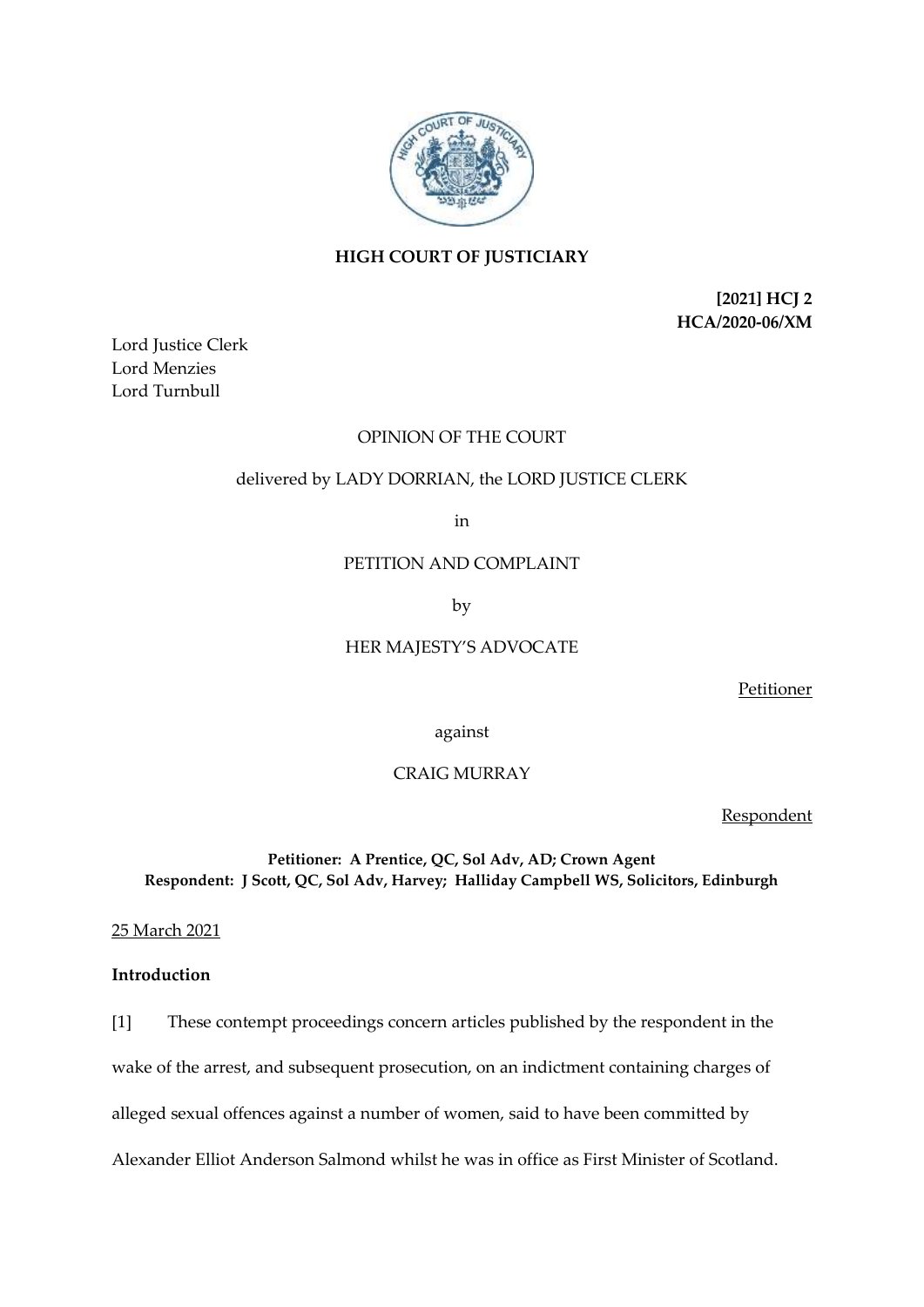

# **HIGH COURT OF JUSTICIARY**

**[2021] HCJ 2 HCA/2020-06/XM**

Lord Justice Clerk Lord Menzies Lord Turnbull

# OPINION OF THE COURT

## delivered by LADY DORRIAN, the LORD JUSTICE CLERK

in

## PETITION AND COMPLAINT

by

# HER MAJESTY'S ADVOCATE

Petitioner

against

# CRAIG MURRAY

Respondent

# **Petitioner: A Prentice, QC, Sol Adv, AD; Crown Agent Respondent: J Scott, QC, Sol Adv, Harvey; Halliday Campbell WS, Solicitors, Edinburgh**

25 March 2021

# **Introduction**

[1] These contempt proceedings concern articles published by the respondent in the wake of the arrest, and subsequent prosecution, on an indictment containing charges of alleged sexual offences against a number of women, said to have been committed by Alexander Elliot Anderson Salmond whilst he was in office as First Minister of Scotland.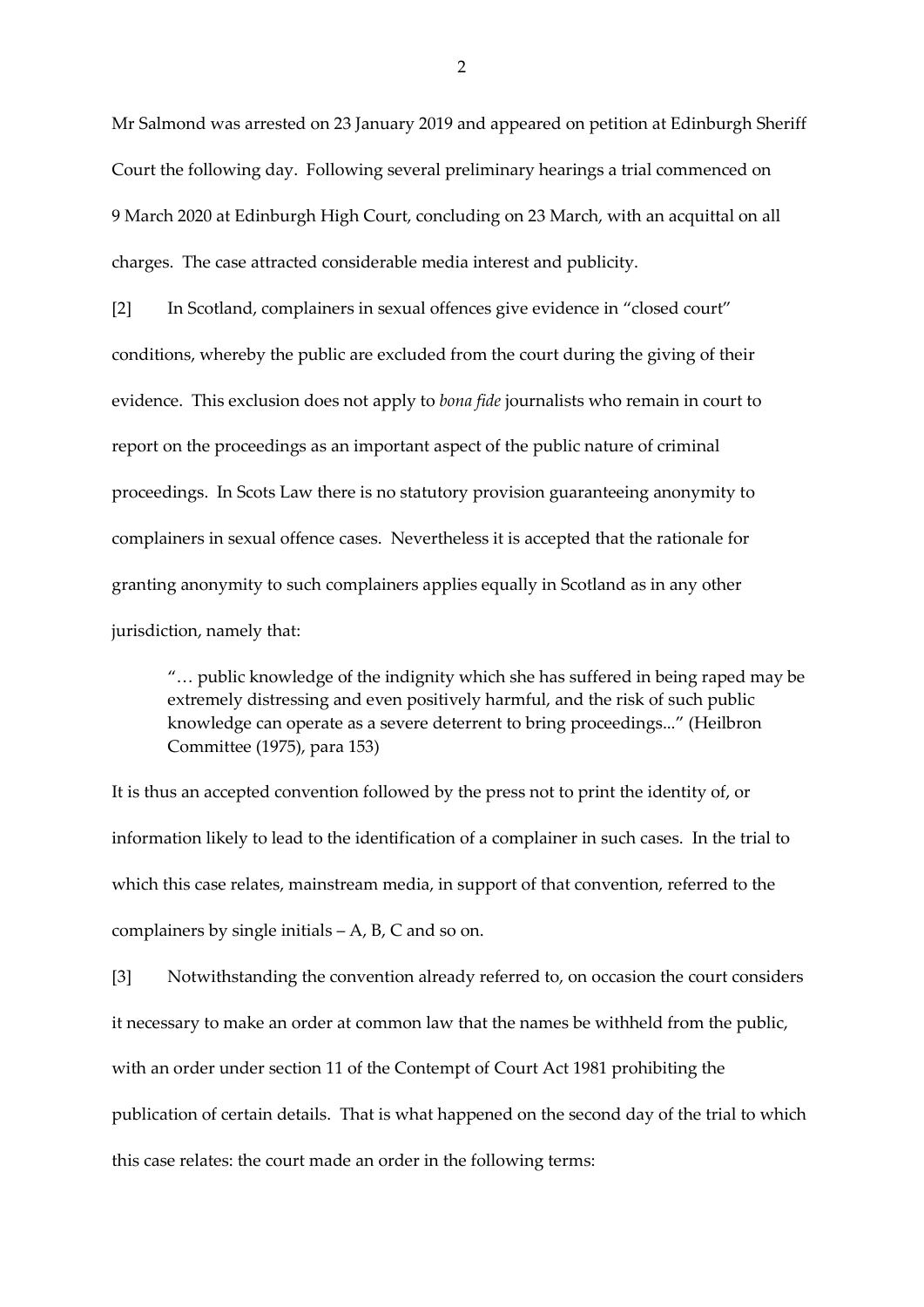Mr Salmond was arrested on 23 January 2019 and appeared on petition at Edinburgh Sheriff Court the following day. Following several preliminary hearings a trial commenced on 9 March 2020 at Edinburgh High Court, concluding on 23 March, with an acquittal on all charges. The case attracted considerable media interest and publicity.

[2] In Scotland, complainers in sexual offences give evidence in "closed court" conditions, whereby the public are excluded from the court during the giving of their evidence. This exclusion does not apply to *bona fide* journalists who remain in court to report on the proceedings as an important aspect of the public nature of criminal proceedings. In Scots Law there is no statutory provision guaranteeing anonymity to complainers in sexual offence cases. Nevertheless it is accepted that the rationale for granting anonymity to such complainers applies equally in Scotland as in any other jurisdiction, namely that:

"… public knowledge of the indignity which she has suffered in being raped may be extremely distressing and even positively harmful, and the risk of such public knowledge can operate as a severe deterrent to bring proceedings..." (Heilbron Committee (1975), para 153)

It is thus an accepted convention followed by the press not to print the identity of, or information likely to lead to the identification of a complainer in such cases. In the trial to which this case relates, mainstream media, in support of that convention, referred to the complainers by single initials – A, B, C and so on.

[3] Notwithstanding the convention already referred to, on occasion the court considers it necessary to make an order at common law that the names be withheld from the public, with an order under section 11 of the Contempt of Court Act 1981 prohibiting the publication of certain details. That is what happened on the second day of the trial to which this case relates: the court made an order in the following terms: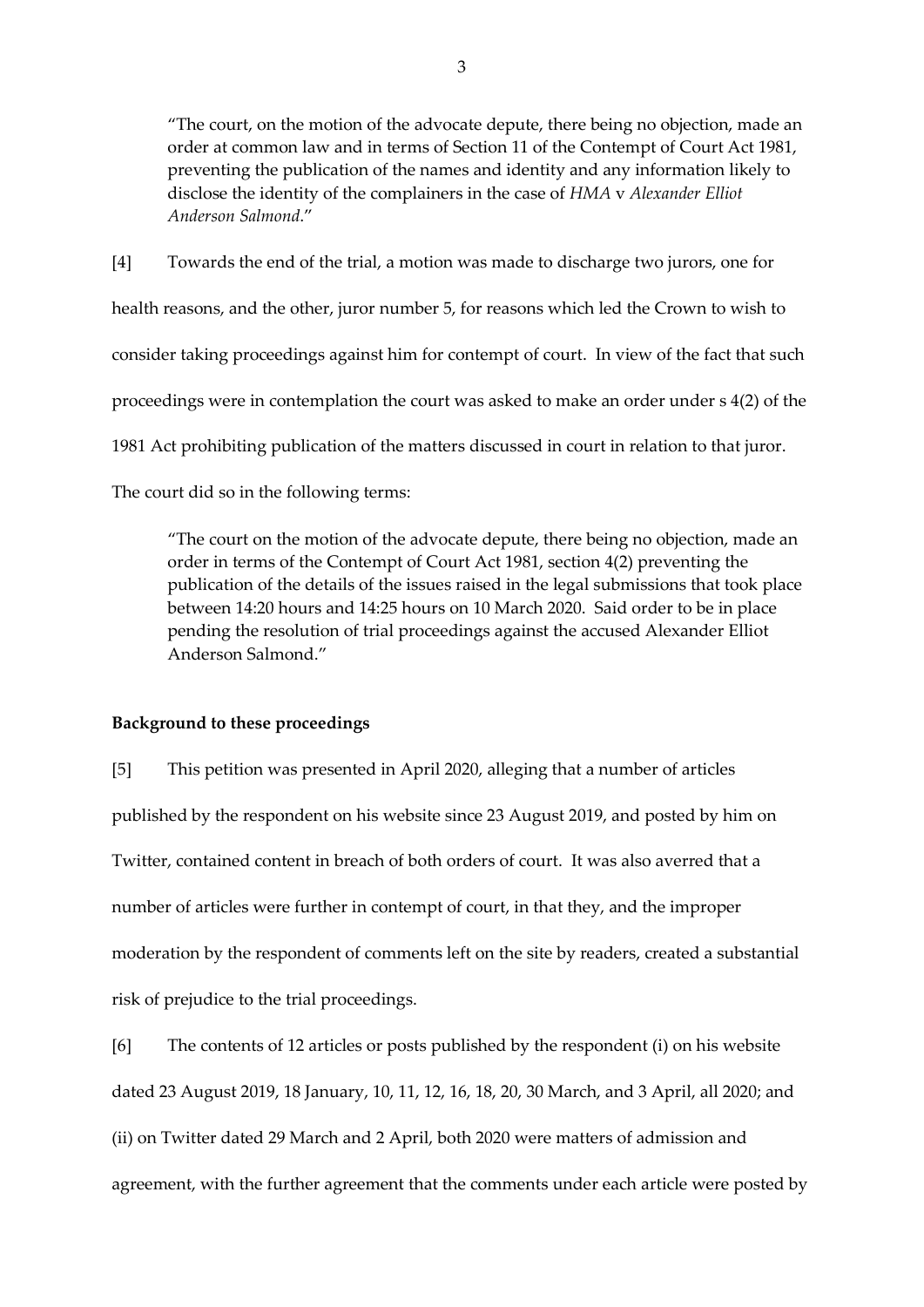"The court, on the motion of the advocate depute, there being no objection, made an order at common law and in terms of Section 11 of the Contempt of Court Act 1981, preventing the publication of the names and identity and any information likely to disclose the identity of the complainers in the case of *HMA* v *Alexander Elliot Anderson Salmond*."

[4] Towards the end of the trial, a motion was made to discharge two jurors, one for health reasons, and the other, juror number 5, for reasons which led the Crown to wish to consider taking proceedings against him for contempt of court. In view of the fact that such proceedings were in contemplation the court was asked to make an order under s 4(2) of the 1981 Act prohibiting publication of the matters discussed in court in relation to that juror. The court did so in the following terms:

"The court on the motion of the advocate depute, there being no objection, made an order in terms of the Contempt of Court Act 1981, section 4(2) preventing the publication of the details of the issues raised in the legal submissions that took place between 14:20 hours and 14:25 hours on 10 March 2020. Said order to be in place pending the resolution of trial proceedings against the accused Alexander Elliot Anderson Salmond."

# **Background to these proceedings**

[5] This petition was presented in April 2020, alleging that a number of articles published by the respondent on his website since 23 August 2019, and posted by him on Twitter, contained content in breach of both orders of court. It was also averred that a number of articles were further in contempt of court, in that they, and the improper moderation by the respondent of comments left on the site by readers, created a substantial risk of prejudice to the trial proceedings.

[6] The contents of 12 articles or posts published by the respondent (i) on his website dated 23 August 2019, 18 January, 10, 11, 12, 16, 18, 20, 30 March, and 3 April, all 2020; and (ii) on Twitter dated 29 March and 2 April, both 2020 were matters of admission and agreement, with the further agreement that the comments under each article were posted by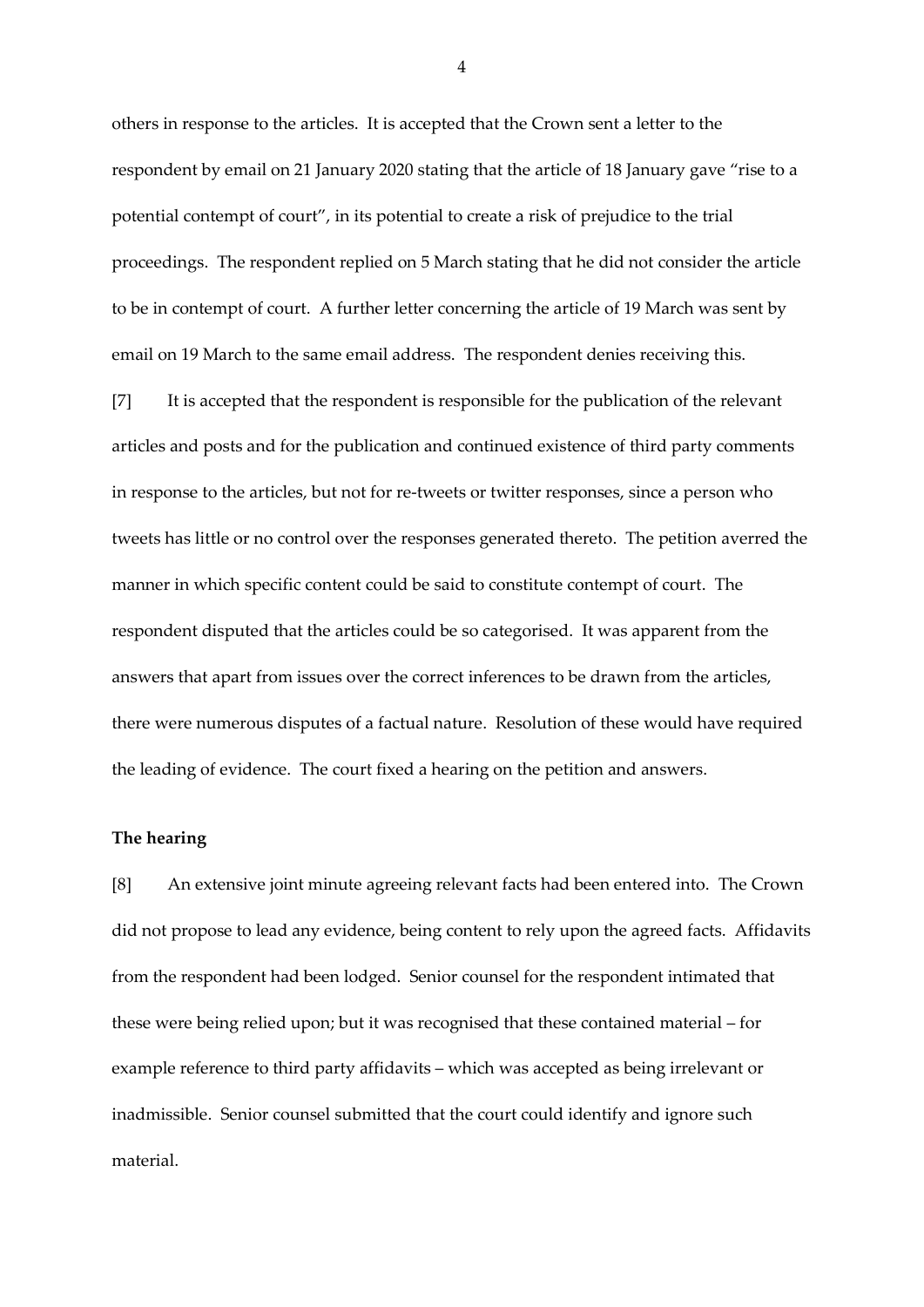others in response to the articles. It is accepted that the Crown sent a letter to the respondent by email on 21 January 2020 stating that the article of 18 January gave "rise to a potential contempt of court", in its potential to create a risk of prejudice to the trial proceedings. The respondent replied on 5 March stating that he did not consider the article to be in contempt of court. A further letter concerning the article of 19 March was sent by email on 19 March to the same email address. The respondent denies receiving this.

[7] It is accepted that the respondent is responsible for the publication of the relevant articles and posts and for the publication and continued existence of third party comments in response to the articles, but not for re-tweets or twitter responses, since a person who tweets has little or no control over the responses generated thereto. The petition averred the manner in which specific content could be said to constitute contempt of court. The respondent disputed that the articles could be so categorised. It was apparent from the answers that apart from issues over the correct inferences to be drawn from the articles, there were numerous disputes of a factual nature. Resolution of these would have required the leading of evidence. The court fixed a hearing on the petition and answers.

#### **The hearing**

[8] An extensive joint minute agreeing relevant facts had been entered into. The Crown did not propose to lead any evidence, being content to rely upon the agreed facts. Affidavits from the respondent had been lodged. Senior counsel for the respondent intimated that these were being relied upon; but it was recognised that these contained material – for example reference to third party affidavits – which was accepted as being irrelevant or inadmissible. Senior counsel submitted that the court could identify and ignore such material.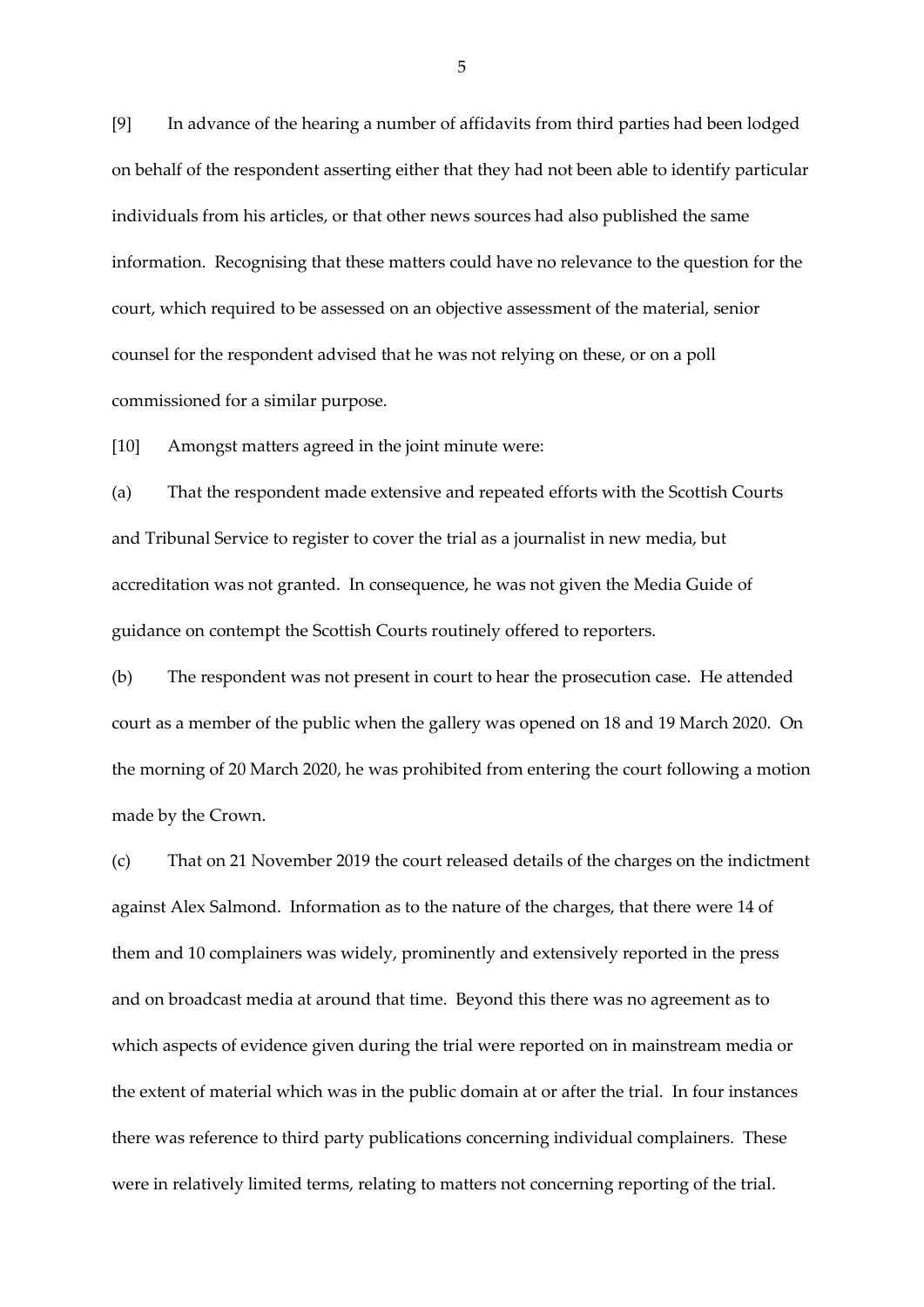[9] In advance of the hearing a number of affidavits from third parties had been lodged on behalf of the respondent asserting either that they had not been able to identify particular individuals from his articles, or that other news sources had also published the same information. Recognising that these matters could have no relevance to the question for the court, which required to be assessed on an objective assessment of the material, senior counsel for the respondent advised that he was not relying on these, or on a poll commissioned for a similar purpose.

[10] Amongst matters agreed in the joint minute were:

(a) That the respondent made extensive and repeated efforts with the Scottish Courts and Tribunal Service to register to cover the trial as a journalist in new media, but accreditation was not granted. In consequence, he was not given the Media Guide of guidance on contempt the Scottish Courts routinely offered to reporters.

(b) The respondent was not present in court to hear the prosecution case. He attended court as a member of the public when the gallery was opened on 18 and 19 March 2020. On the morning of 20 March 2020, he was prohibited from entering the court following a motion made by the Crown.

(c) That on 21 November 2019 the court released details of the charges on the indictment against Alex Salmond. Information as to the nature of the charges, that there were 14 of them and 10 complainers was widely, prominently and extensively reported in the press and on broadcast media at around that time. Beyond this there was no agreement as to which aspects of evidence given during the trial were reported on in mainstream media or the extent of material which was in the public domain at or after the trial. In four instances there was reference to third party publications concerning individual complainers. These were in relatively limited terms, relating to matters not concerning reporting of the trial.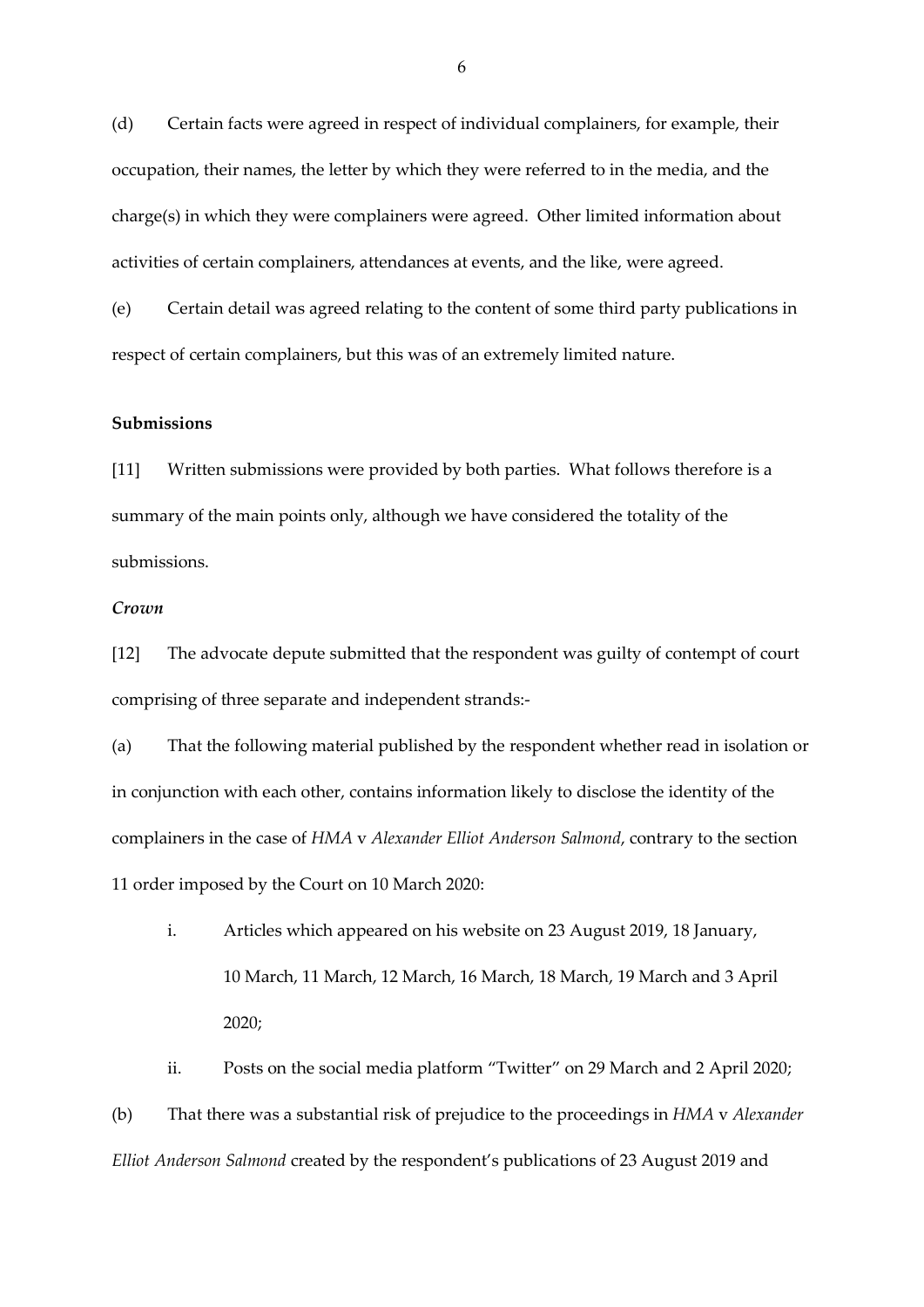(d) Certain facts were agreed in respect of individual complainers, for example, their occupation, their names, the letter by which they were referred to in the media, and the charge(s) in which they were complainers were agreed. Other limited information about activities of certain complainers, attendances at events, and the like, were agreed.

(e) Certain detail was agreed relating to the content of some third party publications in respect of certain complainers, but this was of an extremely limited nature.

### **Submissions**

[11] Written submissions were provided by both parties. What follows therefore is a summary of the main points only, although we have considered the totality of the submissions.

## *Crown*

[12] The advocate depute submitted that the respondent was guilty of contempt of court comprising of three separate and independent strands:-

(a) That the following material published by the respondent whether read in isolation or in conjunction with each other, contains information likely to disclose the identity of the complainers in the case of *HMA* v *Alexander Elliot Anderson Salmond*, contrary to the section 11 order imposed by the Court on 10 March 2020:

i. Articles which appeared on his website on 23 August 2019, 18 January, 10 March, 11 March, 12 March, 16 March, 18 March, 19 March and 3 April 2020;

ii. Posts on the social media platform "Twitter" on 29 March and 2 April 2020;

(b) That there was a substantial risk of prejudice to the proceedings in *HMA* v *Alexander Elliot Anderson Salmond* created by the respondent's publications of 23 August 2019 and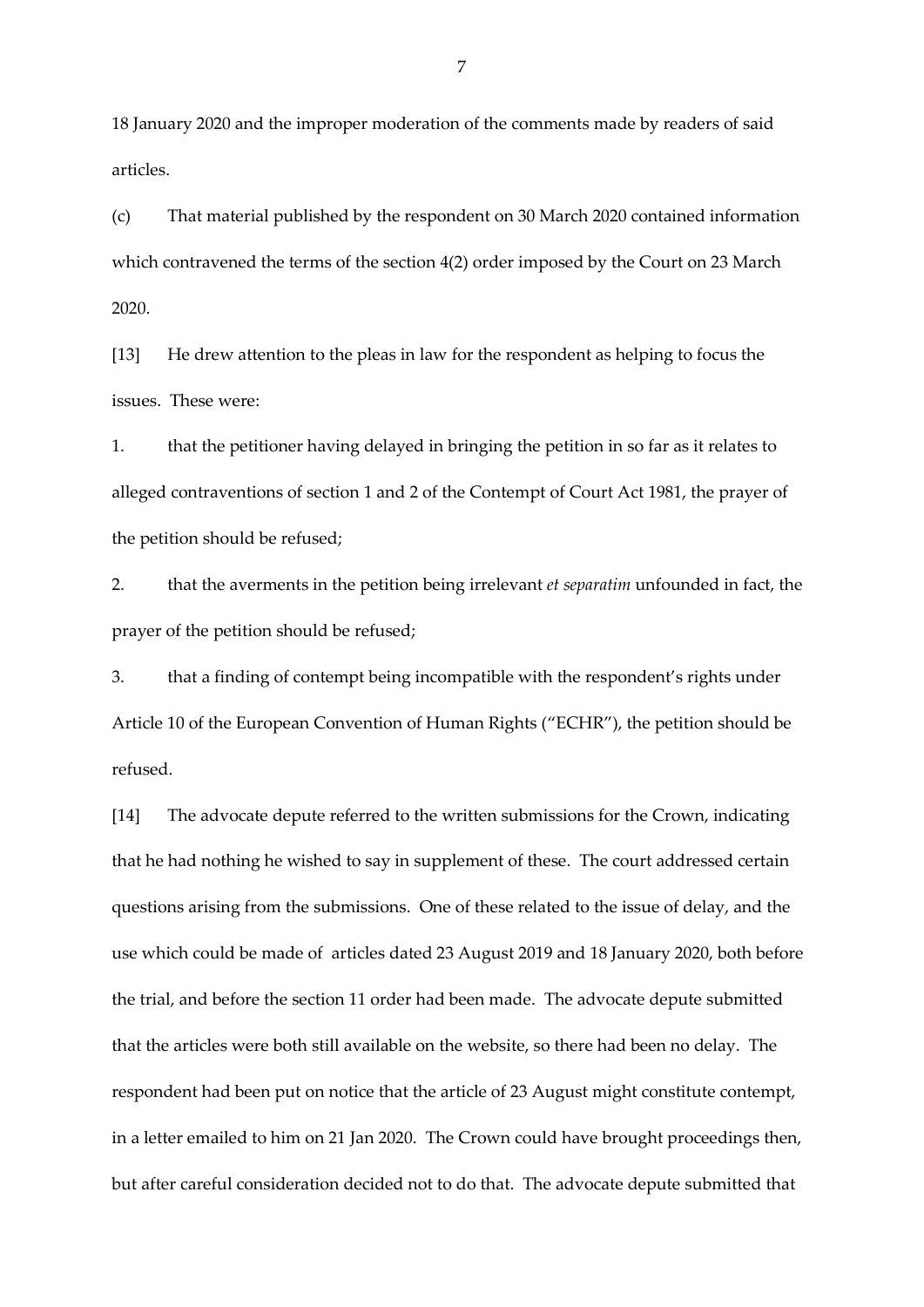18 January 2020 and the improper moderation of the comments made by readers of said articles.

(c) That material published by the respondent on 30 March 2020 contained information which contravened the terms of the section 4(2) order imposed by the Court on 23 March 2020.

[13] He drew attention to the pleas in law for the respondent as helping to focus the issues. These were:

1. that the petitioner having delayed in bringing the petition in so far as it relates to alleged contraventions of section 1 and 2 of the Contempt of Court Act 1981, the prayer of the petition should be refused;

2. that the averments in the petition being irrelevant *et separatim* unfounded in fact, the prayer of the petition should be refused;

3. that a finding of contempt being incompatible with the respondent's rights under Article 10 of the European Convention of Human Rights ("ECHR"), the petition should be refused.

[14] The advocate depute referred to the written submissions for the Crown, indicating that he had nothing he wished to say in supplement of these. The court addressed certain questions arising from the submissions. One of these related to the issue of delay, and the use which could be made of articles dated 23 August 2019 and 18 January 2020, both before the trial, and before the section 11 order had been made. The advocate depute submitted that the articles were both still available on the website, so there had been no delay. The respondent had been put on notice that the article of 23 August might constitute contempt, in a letter emailed to him on 21 Jan 2020. The Crown could have brought proceedings then, but after careful consideration decided not to do that. The advocate depute submitted that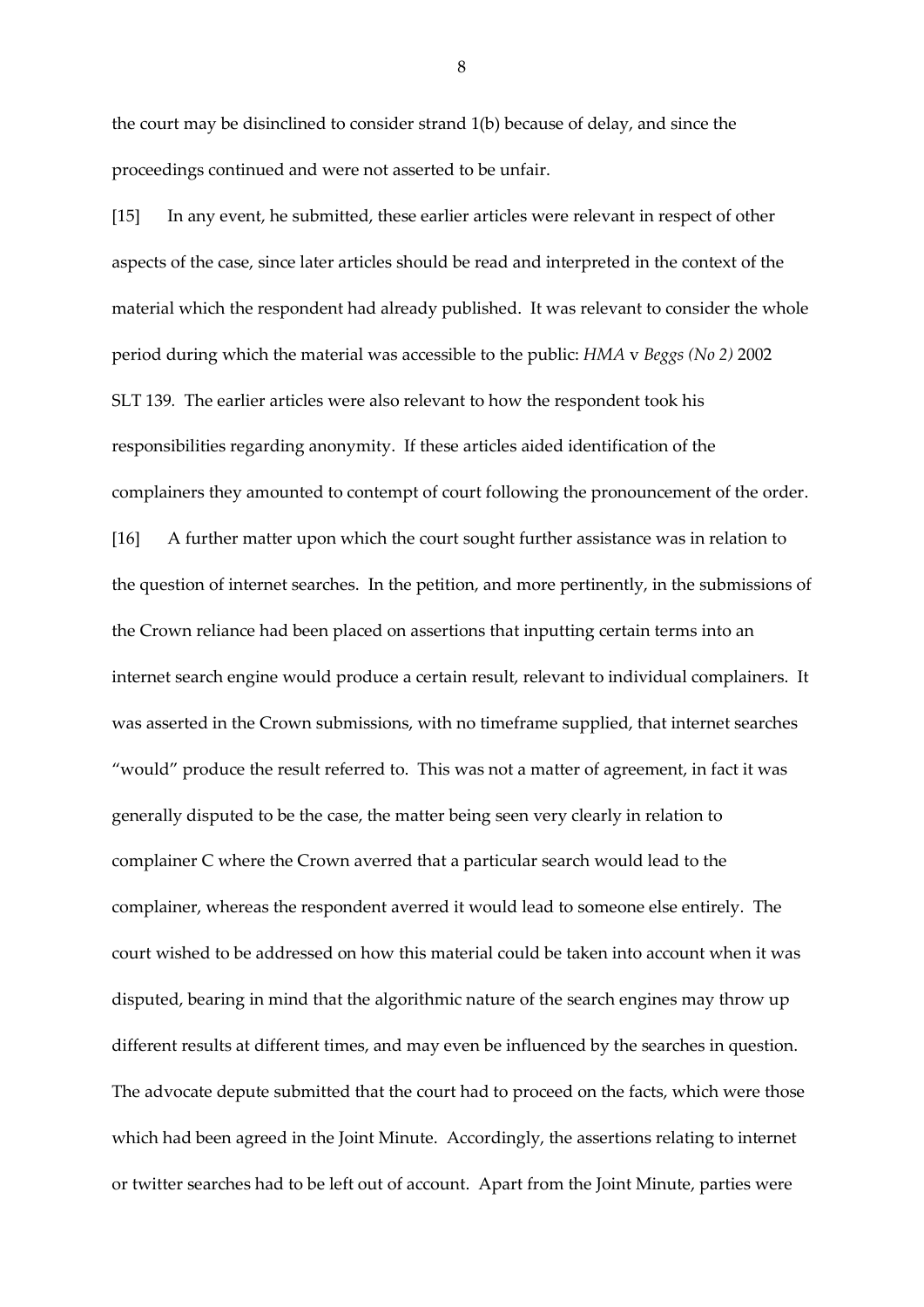the court may be disinclined to consider strand 1(b) because of delay, and since the proceedings continued and were not asserted to be unfair.

[15] In any event, he submitted, these earlier articles were relevant in respect of other aspects of the case, since later articles should be read and interpreted in the context of the material which the respondent had already published. It was relevant to consider the whole period during which the material was accessible to the public: *HMA* v *Beggs (No 2)* 2002 SLT 139*.* The earlier articles were also relevant to how the respondent took his responsibilities regarding anonymity. If these articles aided identification of the complainers they amounted to contempt of court following the pronouncement of the order. [16] A further matter upon which the court sought further assistance was in relation to the question of internet searches. In the petition, and more pertinently, in the submissions of the Crown reliance had been placed on assertions that inputting certain terms into an internet search engine would produce a certain result, relevant to individual complainers. It was asserted in the Crown submissions, with no timeframe supplied, that internet searches "would" produce the result referred to. This was not a matter of agreement, in fact it was generally disputed to be the case, the matter being seen very clearly in relation to complainer C where the Crown averred that a particular search would lead to the complainer, whereas the respondent averred it would lead to someone else entirely. The court wished to be addressed on how this material could be taken into account when it was disputed, bearing in mind that the algorithmic nature of the search engines may throw up different results at different times, and may even be influenced by the searches in question. The advocate depute submitted that the court had to proceed on the facts, which were those which had been agreed in the Joint Minute. Accordingly, the assertions relating to internet or twitter searches had to be left out of account. Apart from the Joint Minute, parties were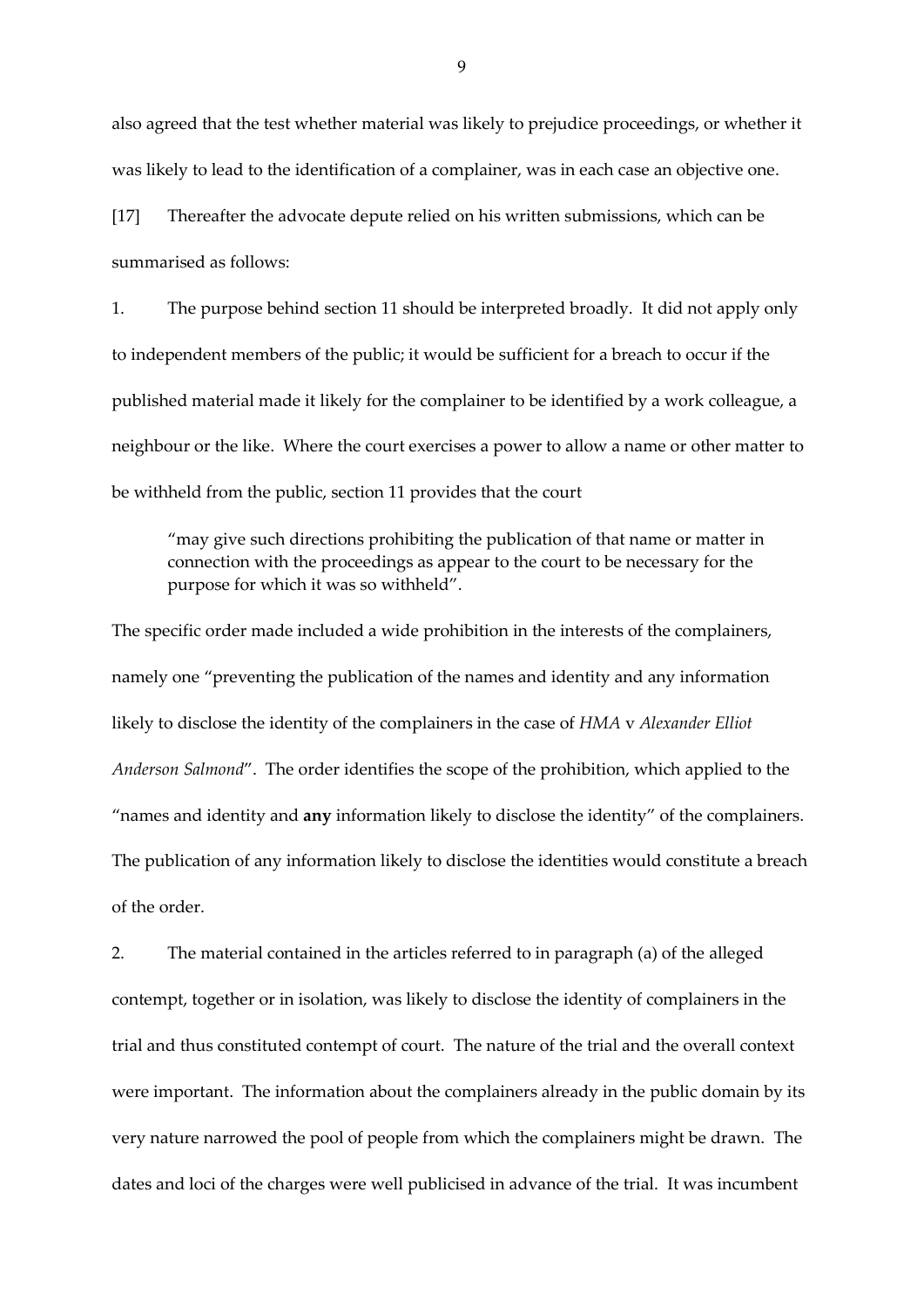also agreed that the test whether material was likely to prejudice proceedings, or whether it was likely to lead to the identification of a complainer, was in each case an objective one.

[17] Thereafter the advocate depute relied on his written submissions, which can be summarised as follows:

1. The purpose behind section 11 should be interpreted broadly. It did not apply only to independent members of the public; it would be sufficient for a breach to occur if the published material made it likely for the complainer to be identified by a work colleague, a neighbour or the like. Where the court exercises a power to allow a name or other matter to be withheld from the public, section 11 provides that the court

"may give such directions prohibiting the publication of that name or matter in connection with the proceedings as appear to the court to be necessary for the purpose for which it was so withheld".

The specific order made included a wide prohibition in the interests of the complainers, namely one "preventing the publication of the names and identity and any information likely to disclose the identity of the complainers in the case of *HMA* v *Alexander Elliot Anderson Salmond*". The order identifies the scope of the prohibition, which applied to the "names and identity and **any** information likely to disclose the identity" of the complainers. The publication of any information likely to disclose the identities would constitute a breach of the order.

2. The material contained in the articles referred to in paragraph (a) of the alleged contempt, together or in isolation, was likely to disclose the identity of complainers in the trial and thus constituted contempt of court. The nature of the trial and the overall context were important. The information about the complainers already in the public domain by its very nature narrowed the pool of people from which the complainers might be drawn. The dates and loci of the charges were well publicised in advance of the trial. It was incumbent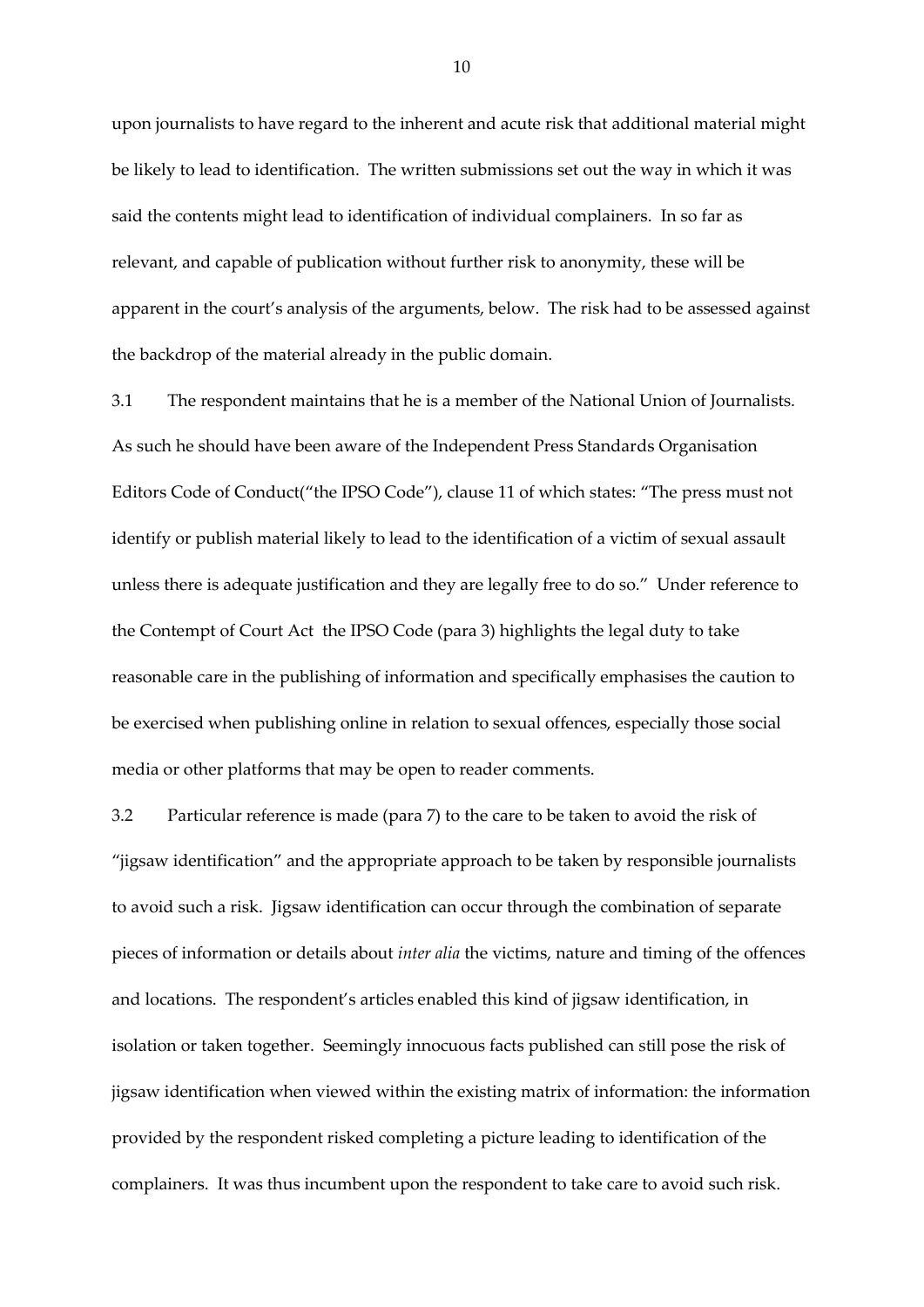upon journalists to have regard to the inherent and acute risk that additional material might be likely to lead to identification. The written submissions set out the way in which it was said the contents might lead to identification of individual complainers. In so far as relevant, and capable of publication without further risk to anonymity, these will be apparent in the court's analysis of the arguments, below. The risk had to be assessed against the backdrop of the material already in the public domain.

3.1 The respondent maintains that he is a member of the National Union of Journalists. As such he should have been aware of the Independent Press Standards Organisation Editors Code of Conduct("the IPSO Code"), clause 11 of which states: "The press must not identify or publish material likely to lead to the identification of a victim of sexual assault unless there is adequate justification and they are legally free to do so." Under reference to the Contempt of Court Act the IPSO Code (para 3) highlights the legal duty to take reasonable care in the publishing of information and specifically emphasises the caution to be exercised when publishing online in relation to sexual offences, especially those social media or other platforms that may be open to reader comments.

3.2 Particular reference is made (para 7) to the care to be taken to avoid the risk of "jigsaw identification" and the appropriate approach to be taken by responsible journalists to avoid such a risk. Jigsaw identification can occur through the combination of separate pieces of information or details about *inter alia* the victims, nature and timing of the offences and locations. The respondent's articles enabled this kind of jigsaw identification, in isolation or taken together. Seemingly innocuous facts published can still pose the risk of jigsaw identification when viewed within the existing matrix of information: the information provided by the respondent risked completing a picture leading to identification of the complainers. It was thus incumbent upon the respondent to take care to avoid such risk.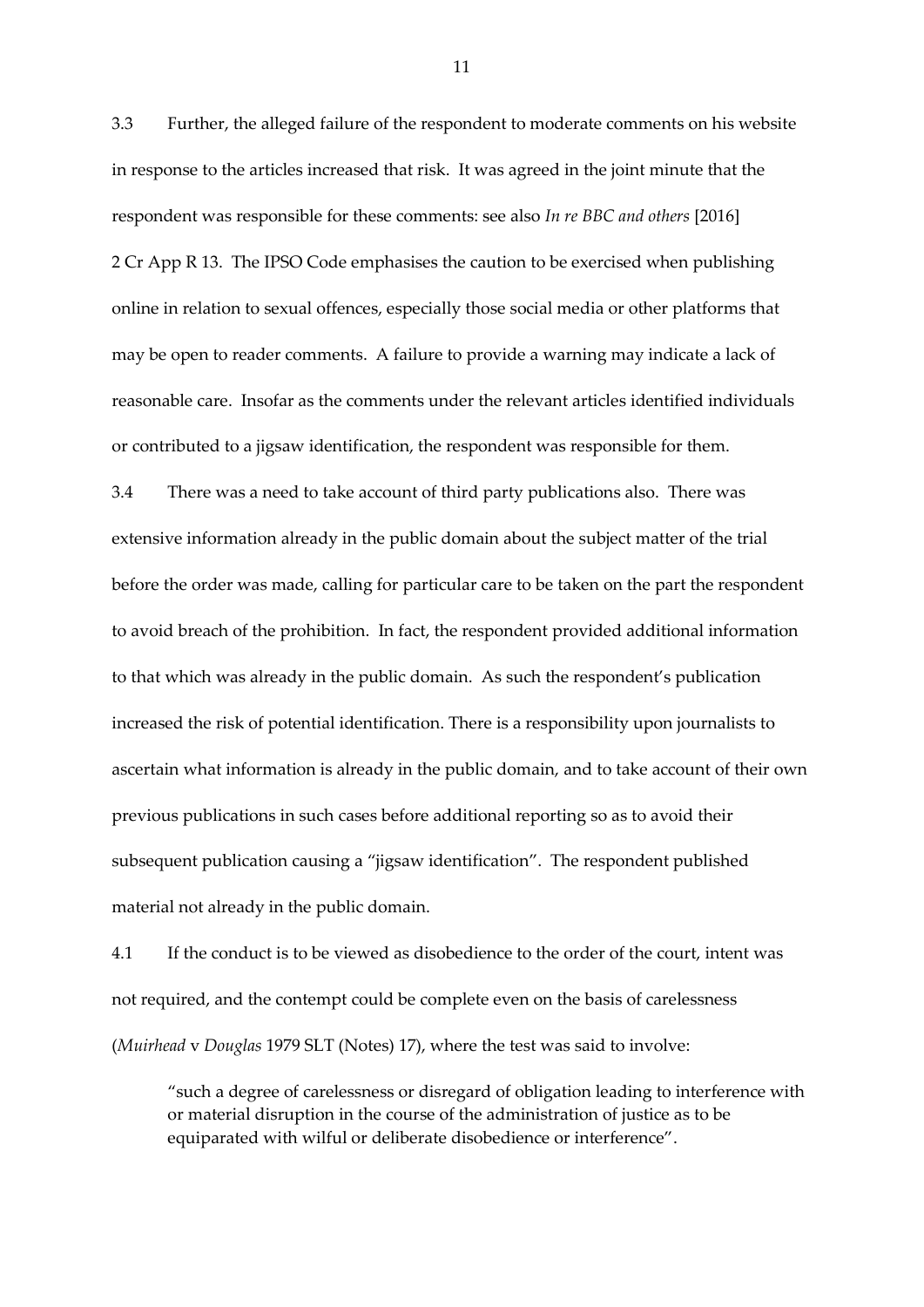3.3 Further, the alleged failure of the respondent to moderate comments on his website in response to the articles increased that risk. It was agreed in the joint minute that the respondent was responsible for these comments: see also *In re BBC and others* [2016] 2 Cr App R 13. The IPSO Code emphasises the caution to be exercised when publishing online in relation to sexual offences, especially those social media or other platforms that may be open to reader comments. A failure to provide a warning may indicate a lack of reasonable care. Insofar as the comments under the relevant articles identified individuals or contributed to a jigsaw identification, the respondent was responsible for them.

3.4 There was a need to take account of third party publications also. There was extensive information already in the public domain about the subject matter of the trial before the order was made, calling for particular care to be taken on the part the respondent to avoid breach of the prohibition. In fact, the respondent provided additional information to that which was already in the public domain. As such the respondent's publication increased the risk of potential identification. There is a responsibility upon journalists to ascertain what information is already in the public domain, and to take account of their own previous publications in such cases before additional reporting so as to avoid their subsequent publication causing a "jigsaw identification". The respondent published material not already in the public domain.

4.1 If the conduct is to be viewed as disobedience to the order of the court, intent was not required, and the contempt could be complete even on the basis of carelessness (*Muirhead* v *Douglas* 1979 SLT (Notes) 17), where the test was said to involve:

"such a degree of carelessness or disregard of obligation leading to interference with or material disruption in the course of the administration of justice as to be equiparated with wilful or deliberate disobedience or interference".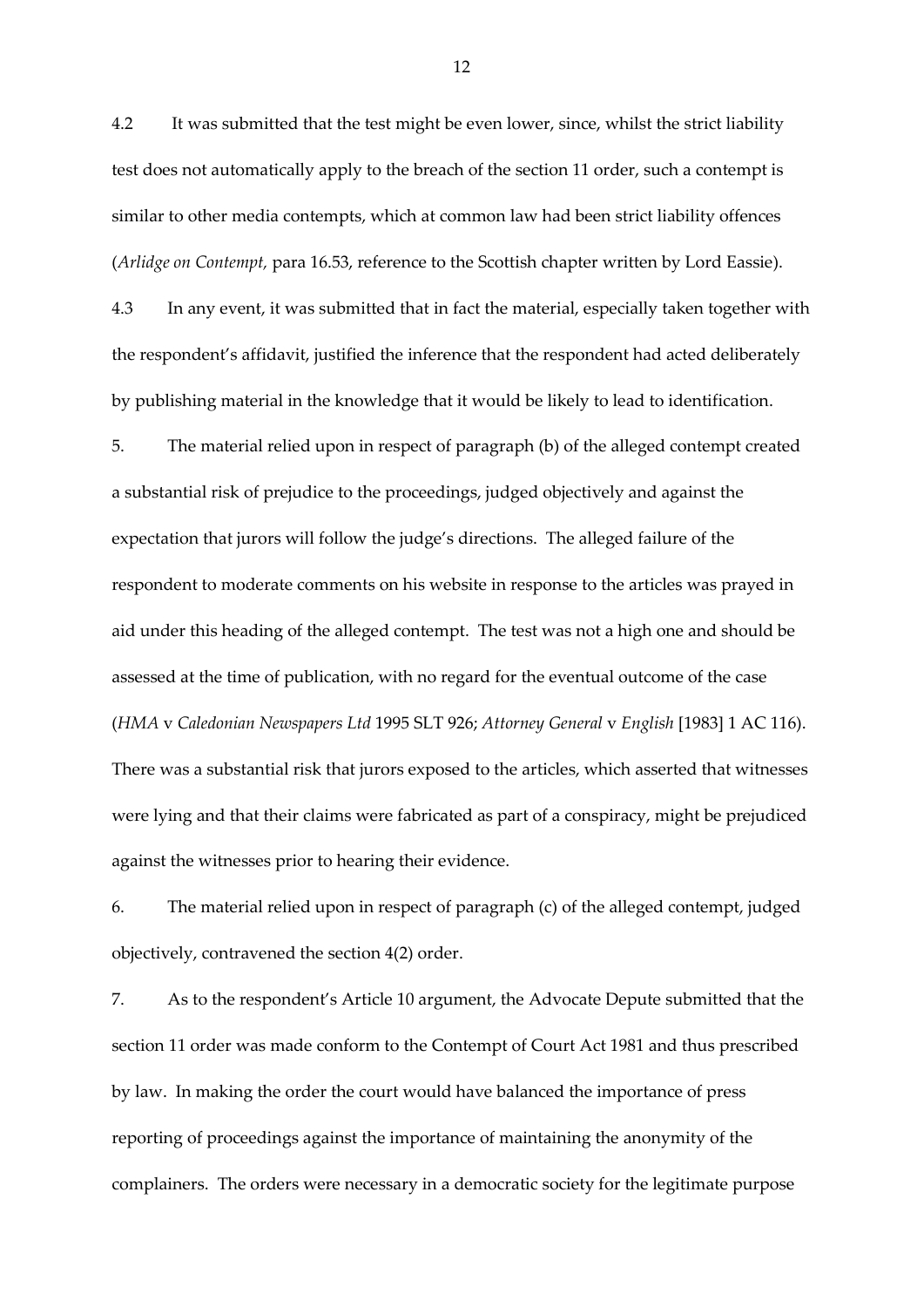4.2 It was submitted that the test might be even lower, since, whilst the strict liability test does not automatically apply to the breach of the section 11 order, such a contempt is similar to other media contempts, which at common law had been strict liability offences (*Arlidge on Contempt,* para 16.53, reference to the Scottish chapter written by Lord Eassie).

4.3 In any event, it was submitted that in fact the material, especially taken together with the respondent's affidavit, justified the inference that the respondent had acted deliberately by publishing material in the knowledge that it would be likely to lead to identification.

5. The material relied upon in respect of paragraph (b) of the alleged contempt created a substantial risk of prejudice to the proceedings, judged objectively and against the expectation that jurors will follow the judge's directions. The alleged failure of the respondent to moderate comments on his website in response to the articles was prayed in aid under this heading of the alleged contempt. The test was not a high one and should be assessed at the time of publication, with no regard for the eventual outcome of the case (*HMA* v *Caledonian Newspapers Ltd* 1995 SLT 926; *Attorney General* v *English* [1983] 1 AC 116). There was a substantial risk that jurors exposed to the articles, which asserted that witnesses were lying and that their claims were fabricated as part of a conspiracy, might be prejudiced against the witnesses prior to hearing their evidence.

6. The material relied upon in respect of paragraph (c) of the alleged contempt, judged objectively, contravened the section 4(2) order.

7. As to the respondent's Article 10 argument, the Advocate Depute submitted that the section 11 order was made conform to the Contempt of Court Act 1981 and thus prescribed by law. In making the order the court would have balanced the importance of press reporting of proceedings against the importance of maintaining the anonymity of the complainers. The orders were necessary in a democratic society for the legitimate purpose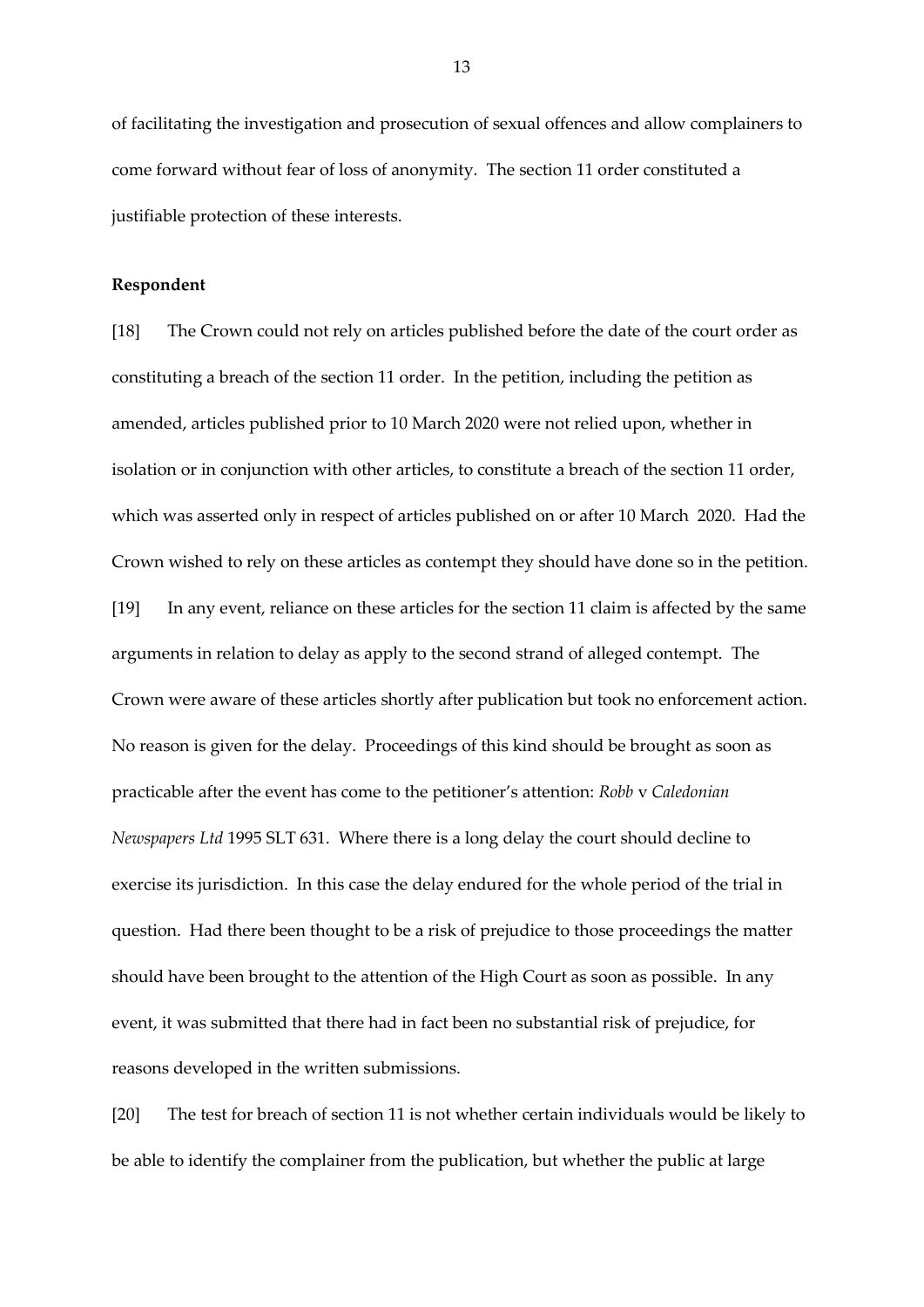of facilitating the investigation and prosecution of sexual offences and allow complainers to come forward without fear of loss of anonymity. The section 11 order constituted a justifiable protection of these interests.

## **Respondent**

[18] The Crown could not rely on articles published before the date of the court order as constituting a breach of the section 11 order. In the petition, including the petition as amended, articles published prior to 10 March 2020 were not relied upon, whether in isolation or in conjunction with other articles, to constitute a breach of the section 11 order, which was asserted only in respect of articles published on or after 10 March 2020. Had the Crown wished to rely on these articles as contempt they should have done so in the petition. [19] In any event, reliance on these articles for the section 11 claim is affected by the same arguments in relation to delay as apply to the second strand of alleged contempt. The Crown were aware of these articles shortly after publication but took no enforcement action. No reason is given for the delay. Proceedings of this kind should be brought as soon as practicable after the event has come to the petitioner's attention: *Robb* v *Caledonian Newspapers Ltd* 1995 SLT 631. Where there is a long delay the court should decline to exercise its jurisdiction. In this case the delay endured for the whole period of the trial in question. Had there been thought to be a risk of prejudice to those proceedings the matter should have been brought to the attention of the High Court as soon as possible. In any event, it was submitted that there had in fact been no substantial risk of prejudice, for reasons developed in the written submissions.

[20] The test for breach of section 11 is not whether certain individuals would be likely to be able to identify the complainer from the publication, but whether the public at large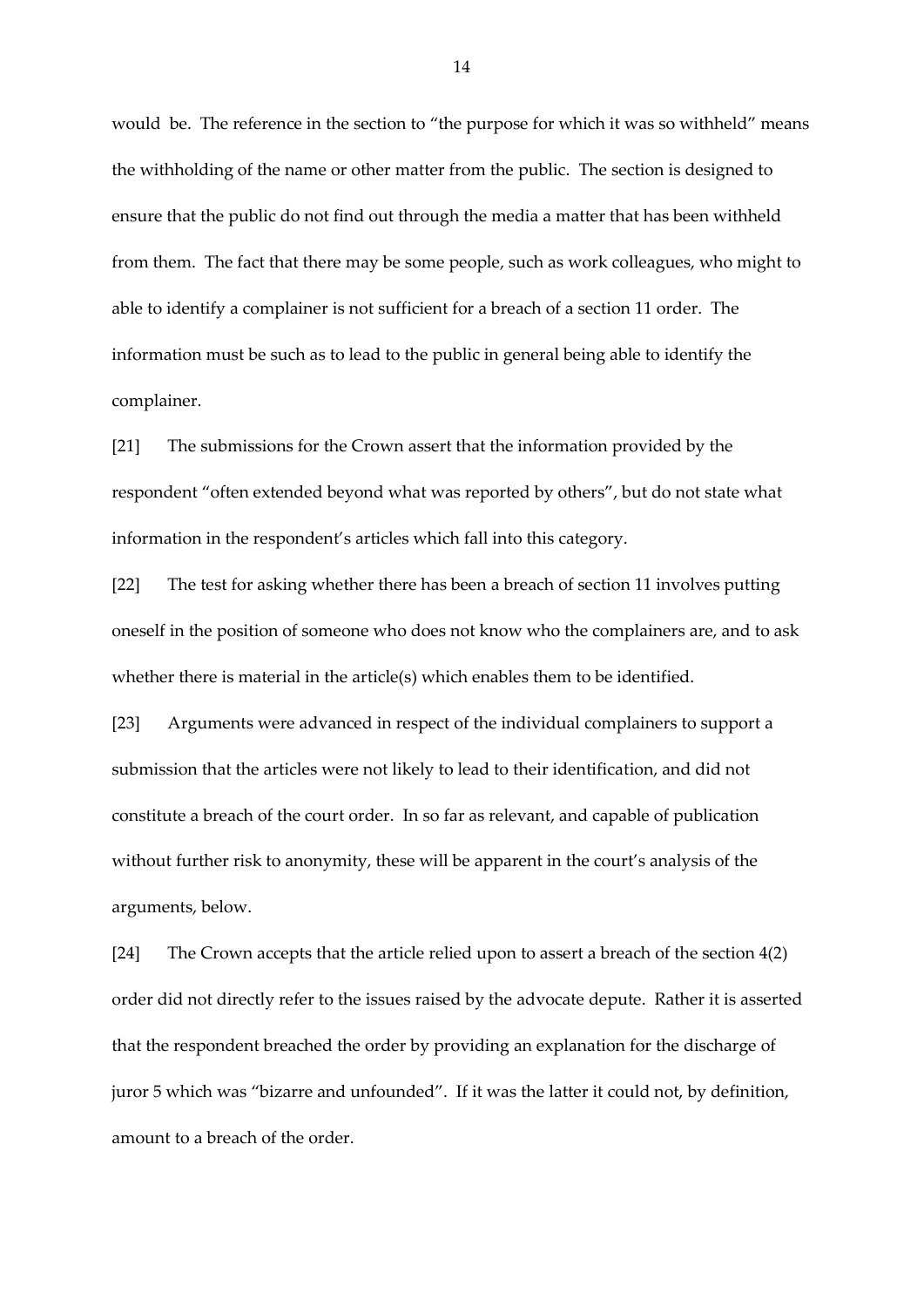would be. The reference in the section to "the purpose for which it was so withheld" means the withholding of the name or other matter from the public. The section is designed to ensure that the public do not find out through the media a matter that has been withheld from them. The fact that there may be some people, such as work colleagues, who might to able to identify a complainer is not sufficient for a breach of a section 11 order. The information must be such as to lead to the public in general being able to identify the complainer.

[21] The submissions for the Crown assert that the information provided by the respondent "often extended beyond what was reported by others", but do not state what information in the respondent's articles which fall into this category.

[22] The test for asking whether there has been a breach of section 11 involves putting oneself in the position of someone who does not know who the complainers are, and to ask whether there is material in the article(s) which enables them to be identified.

[23] Arguments were advanced in respect of the individual complainers to support a submission that the articles were not likely to lead to their identification, and did not constitute a breach of the court order. In so far as relevant, and capable of publication without further risk to anonymity, these will be apparent in the court's analysis of the arguments, below.

[24] The Crown accepts that the article relied upon to assert a breach of the section 4(2) order did not directly refer to the issues raised by the advocate depute. Rather it is asserted that the respondent breached the order by providing an explanation for the discharge of juror 5 which was "bizarre and unfounded". If it was the latter it could not, by definition, amount to a breach of the order.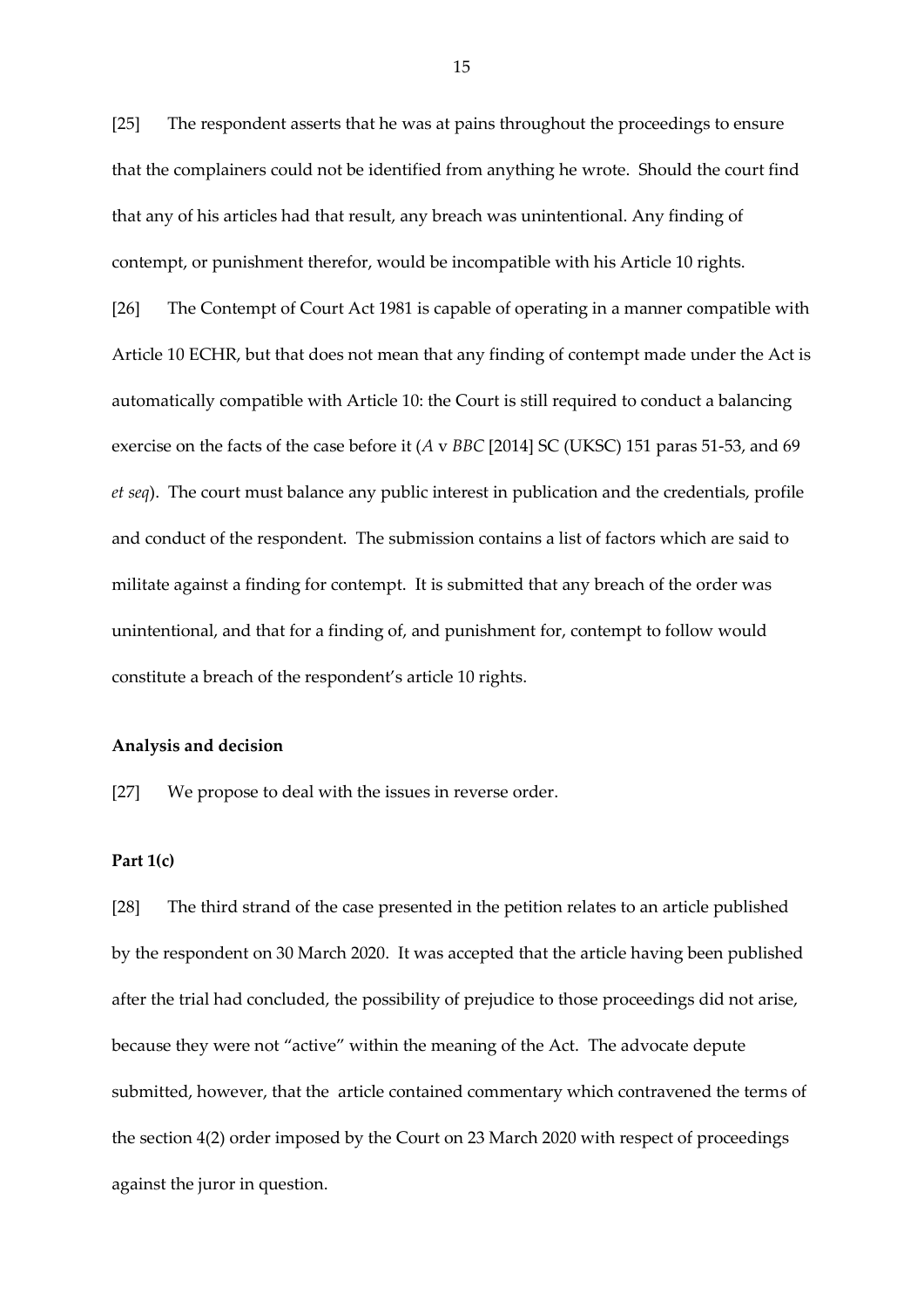[25] The respondent asserts that he was at pains throughout the proceedings to ensure that the complainers could not be identified from anything he wrote. Should the court find that any of his articles had that result, any breach was unintentional. Any finding of contempt, or punishment therefor, would be incompatible with his Article 10 rights.

[26] The Contempt of Court Act 1981 is capable of operating in a manner compatible with Article 10 ECHR, but that does not mean that any finding of contempt made under the Act is automatically compatible with Article 10: the Court is still required to conduct a balancing exercise on the facts of the case before it (*A* v *BBC* [2014] SC (UKSC) 151 paras 51-53, and 69 *et seq*). The court must balance any public interest in publication and the credentials, profile and conduct of the respondent. The submission contains a list of factors which are said to militate against a finding for contempt. It is submitted that any breach of the order was unintentional, and that for a finding of, and punishment for, contempt to follow would constitute a breach of the respondent's article 10 rights.

#### **Analysis and decision**

[27] We propose to deal with the issues in reverse order.

#### **Part 1(c)**

[28] The third strand of the case presented in the petition relates to an article published by the respondent on 30 March 2020. It was accepted that the article having been published after the trial had concluded, the possibility of prejudice to those proceedings did not arise, because they were not "active" within the meaning of the Act. The advocate depute submitted, however, that the article contained commentary which contravened the terms of the section 4(2) order imposed by the Court on 23 March 2020 with respect of proceedings against the juror in question.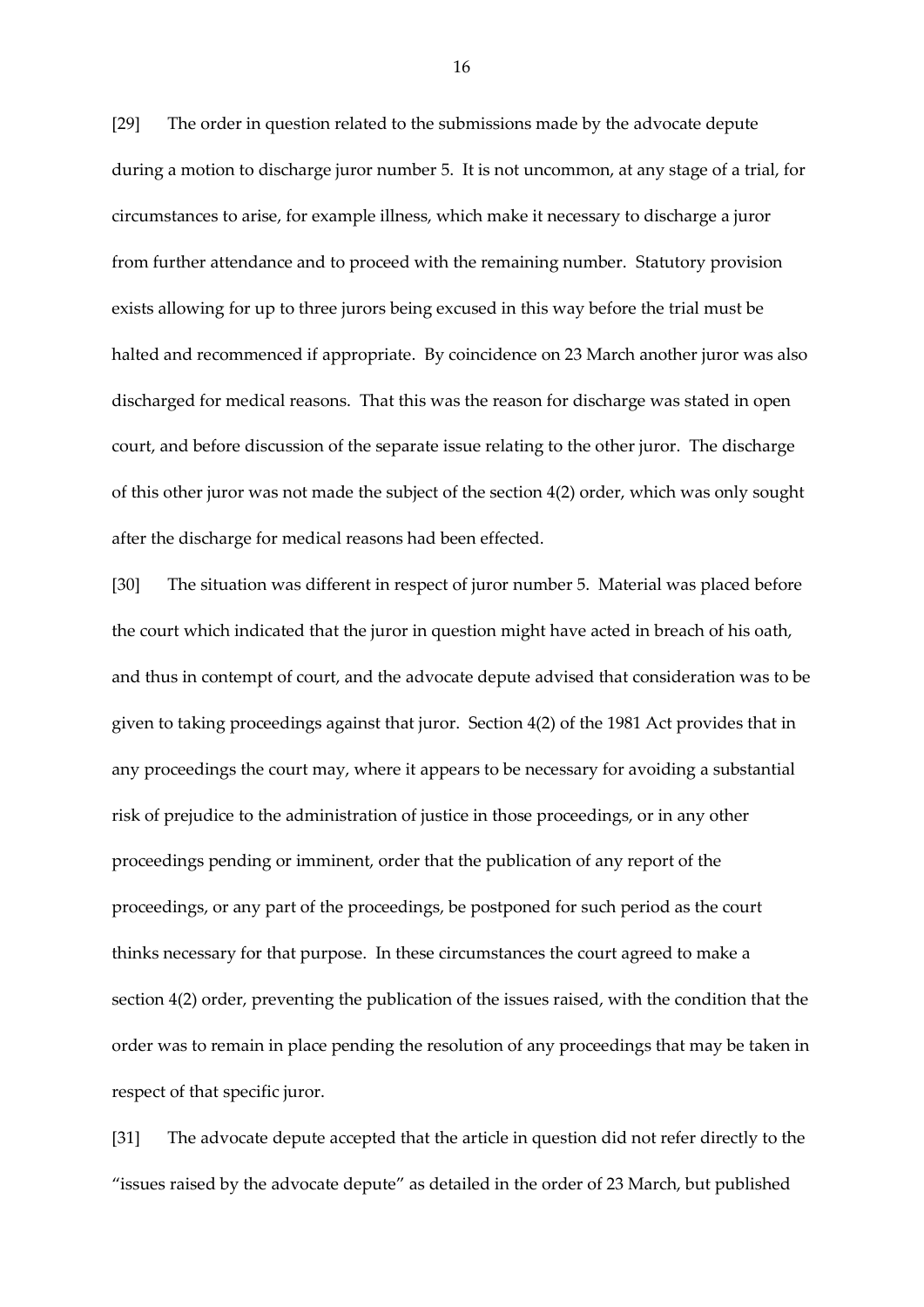[29] The order in question related to the submissions made by the advocate depute during a motion to discharge juror number 5. It is not uncommon, at any stage of a trial, for circumstances to arise, for example illness, which make it necessary to discharge a juror from further attendance and to proceed with the remaining number. Statutory provision exists allowing for up to three jurors being excused in this way before the trial must be halted and recommenced if appropriate. By coincidence on 23 March another juror was also discharged for medical reasons. That this was the reason for discharge was stated in open court, and before discussion of the separate issue relating to the other juror. The discharge of this other juror was not made the subject of the section 4(2) order, which was only sought after the discharge for medical reasons had been effected.

[30] The situation was different in respect of juror number 5. Material was placed before the court which indicated that the juror in question might have acted in breach of his oath, and thus in contempt of court, and the advocate depute advised that consideration was to be given to taking proceedings against that juror. Section 4(2) of the 1981 Act provides that in any proceedings the court may, where it appears to be necessary for avoiding a substantial risk of prejudice to the administration of justice in those proceedings, or in any other proceedings pending or imminent, order that the publication of any report of the proceedings, or any part of the proceedings, be postponed for such period as the court thinks necessary for that purpose. In these circumstances the court agreed to make a section 4(2) order, preventing the publication of the issues raised, with the condition that the order was to remain in place pending the resolution of any proceedings that may be taken in respect of that specific juror.

[31] The advocate depute accepted that the article in question did not refer directly to the "issues raised by the advocate depute" as detailed in the order of 23 March, but published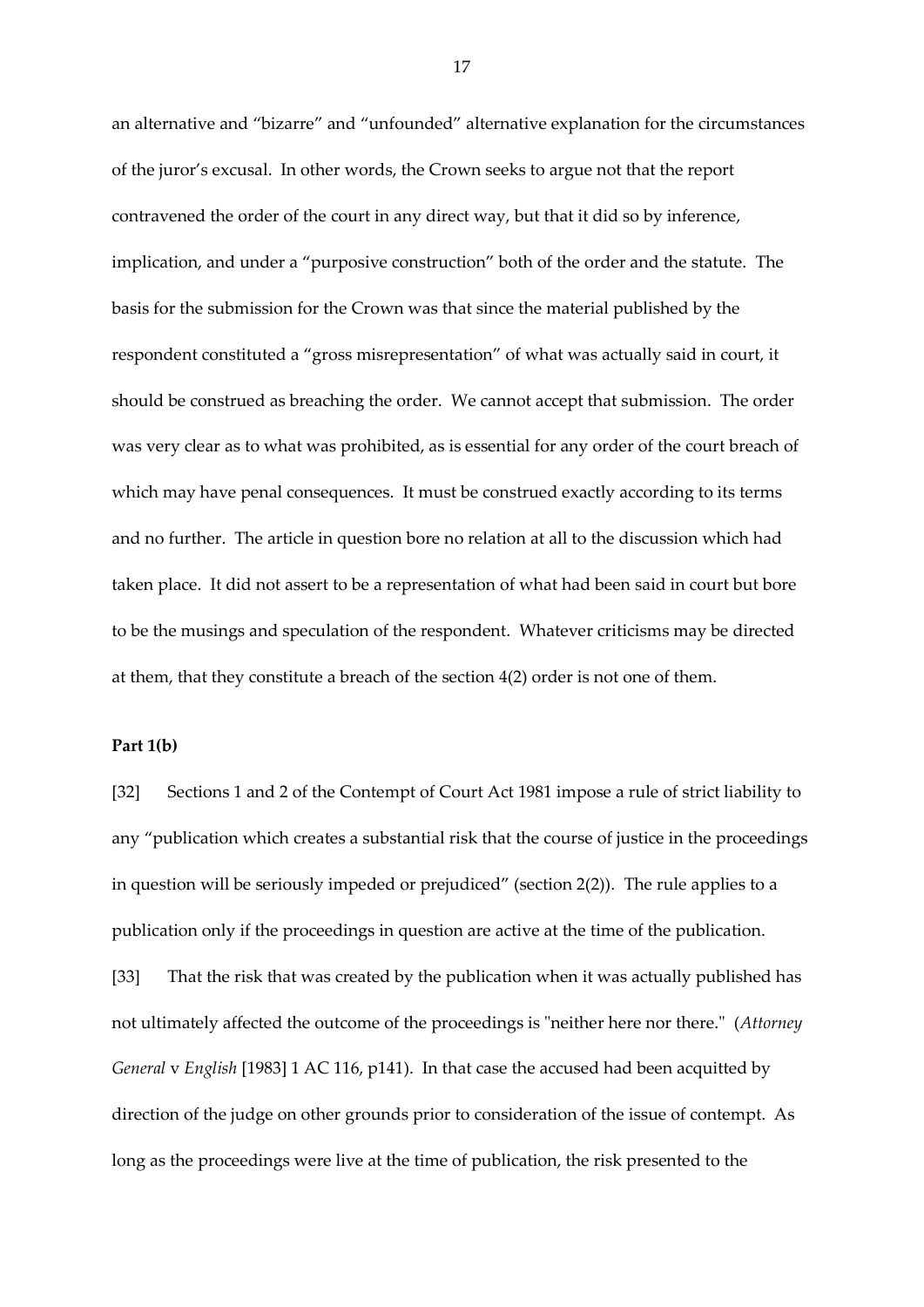an alternative and "bizarre" and "unfounded" alternative explanation for the circumstances of the juror's excusal. In other words, the Crown seeks to argue not that the report contravened the order of the court in any direct way, but that it did so by inference, implication, and under a "purposive construction" both of the order and the statute. The basis for the submission for the Crown was that since the material published by the respondent constituted a "gross misrepresentation" of what was actually said in court, it should be construed as breaching the order. We cannot accept that submission. The order was very clear as to what was prohibited, as is essential for any order of the court breach of which may have penal consequences. It must be construed exactly according to its terms and no further. The article in question bore no relation at all to the discussion which had taken place. It did not assert to be a representation of what had been said in court but bore to be the musings and speculation of the respondent. Whatever criticisms may be directed at them, that they constitute a breach of the section 4(2) order is not one of them.

### **Part 1(b)**

[32] Sections 1 and 2 of the Contempt of Court Act 1981 impose a rule of strict liability to any "publication which creates a substantial risk that the course of justice in the proceedings in question will be seriously impeded or prejudiced" (section 2(2)). The rule applies to a publication only if the proceedings in question are active at the time of the publication.

[33] That the risk that was created by the publication when it was actually published has not ultimately affected the outcome of the proceedings is "neither here nor there." (*Attorney General* v *English* [1983] 1 AC 116, p141). In that case the accused had been acquitted by direction of the judge on other grounds prior to consideration of the issue of contempt. As long as the proceedings were live at the time of publication, the risk presented to the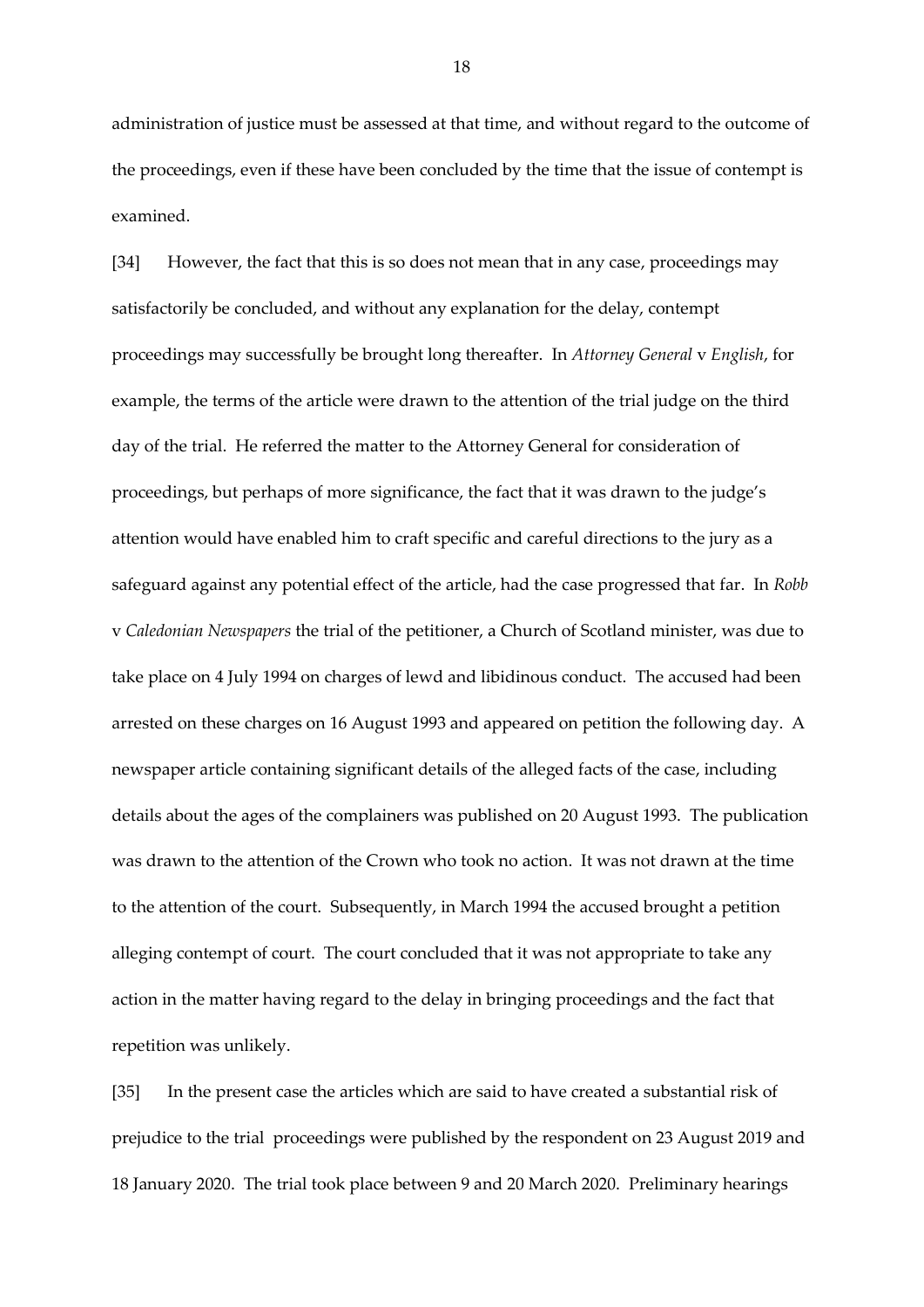administration of justice must be assessed at that time, and without regard to the outcome of the proceedings, even if these have been concluded by the time that the issue of contempt is examined.

[34] However, the fact that this is so does not mean that in any case, proceedings may satisfactorily be concluded, and without any explanation for the delay, contempt proceedings may successfully be brought long thereafter. In *Attorney General* v *English*, for example, the terms of the article were drawn to the attention of the trial judge on the third day of the trial. He referred the matter to the Attorney General for consideration of proceedings, but perhaps of more significance, the fact that it was drawn to the judge's attention would have enabled him to craft specific and careful directions to the jury as a safeguard against any potential effect of the article, had the case progressed that far. In *Robb*  v *Caledonian Newspapers* the trial of the petitioner, a Church of Scotland minister, was due to take place on 4 July 1994 on charges of lewd and libidinous conduct. The accused had been arrested on these charges on 16 August 1993 and appeared on petition the following day. A newspaper article containing significant details of the alleged facts of the case, including details about the ages of the complainers was published on 20 August 1993. The publication was drawn to the attention of the Crown who took no action. It was not drawn at the time to the attention of the court. Subsequently, in March 1994 the accused brought a petition alleging contempt of court. The court concluded that it was not appropriate to take any action in the matter having regard to the delay in bringing proceedings and the fact that repetition was unlikely.

[35] In the present case the articles which are said to have created a substantial risk of prejudice to the trial proceedings were published by the respondent on 23 August 2019 and 18 January 2020. The trial took place between 9 and 20 March 2020. Preliminary hearings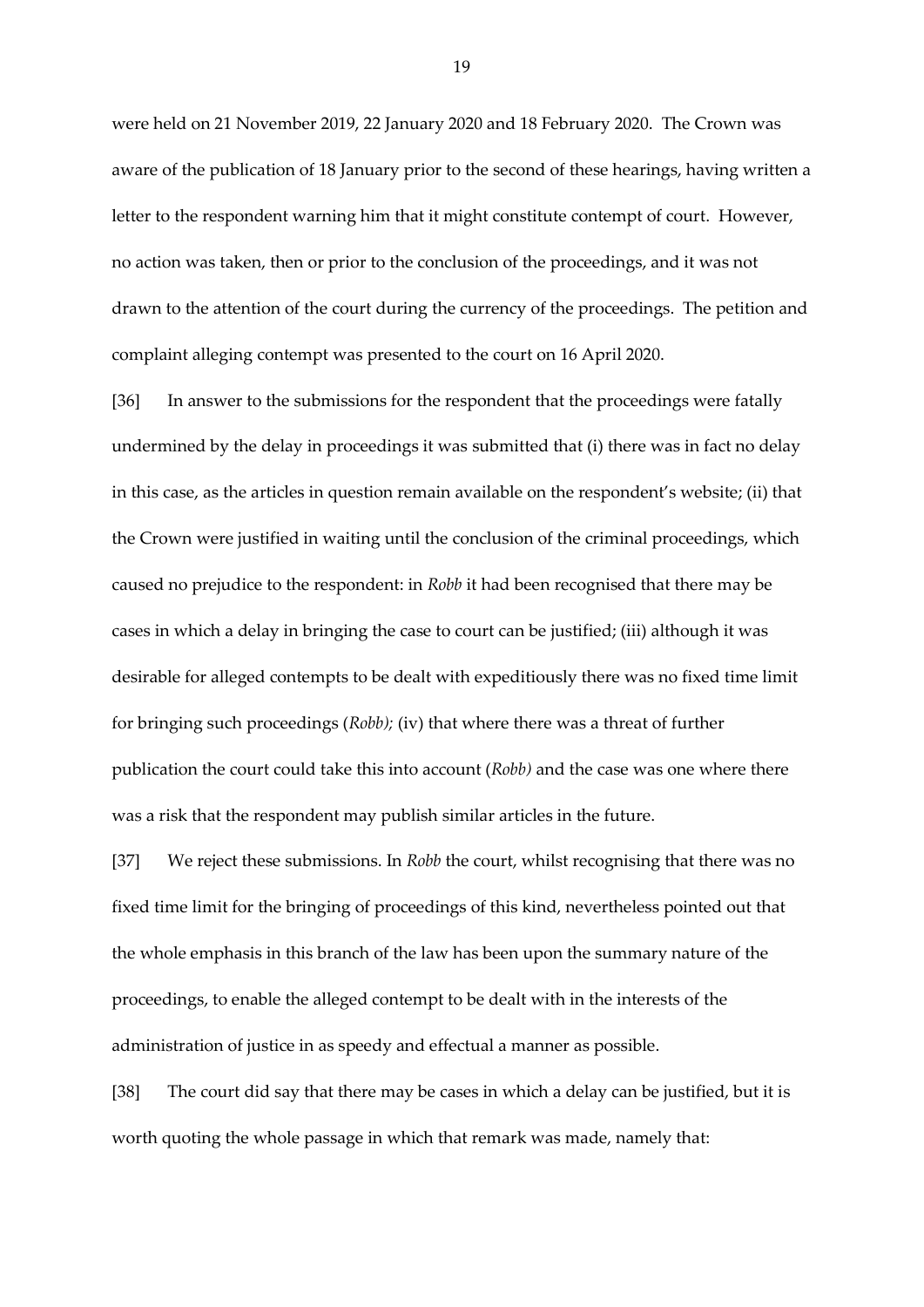were held on 21 November 2019, 22 January 2020 and 18 February 2020. The Crown was aware of the publication of 18 January prior to the second of these hearings, having written a letter to the respondent warning him that it might constitute contempt of court. However, no action was taken, then or prior to the conclusion of the proceedings, and it was not drawn to the attention of the court during the currency of the proceedings. The petition and complaint alleging contempt was presented to the court on 16 April 2020.

[36] In answer to the submissions for the respondent that the proceedings were fatally undermined by the delay in proceedings it was submitted that (i) there was in fact no delay in this case, as the articles in question remain available on the respondent's website; (ii) that the Crown were justified in waiting until the conclusion of the criminal proceedings, which caused no prejudice to the respondent: in *Robb* it had been recognised that there may be cases in which a delay in bringing the case to court can be justified; (iii) although it was desirable for alleged contempts to be dealt with expeditiously there was no fixed time limit for bringing such proceedings (*Robb);* (iv) that where there was a threat of further publication the court could take this into account (*Robb)* and the case was one where there was a risk that the respondent may publish similar articles in the future.

[37] We reject these submissions. In *Robb* the court, whilst recognising that there was no fixed time limit for the bringing of proceedings of this kind, nevertheless pointed out that the whole emphasis in this branch of the law has been upon the summary nature of the proceedings, to enable the alleged contempt to be dealt with in the interests of the administration of justice in as speedy and effectual a manner as possible.

[38] The court did say that there may be cases in which a delay can be justified, but it is worth quoting the whole passage in which that remark was made, namely that: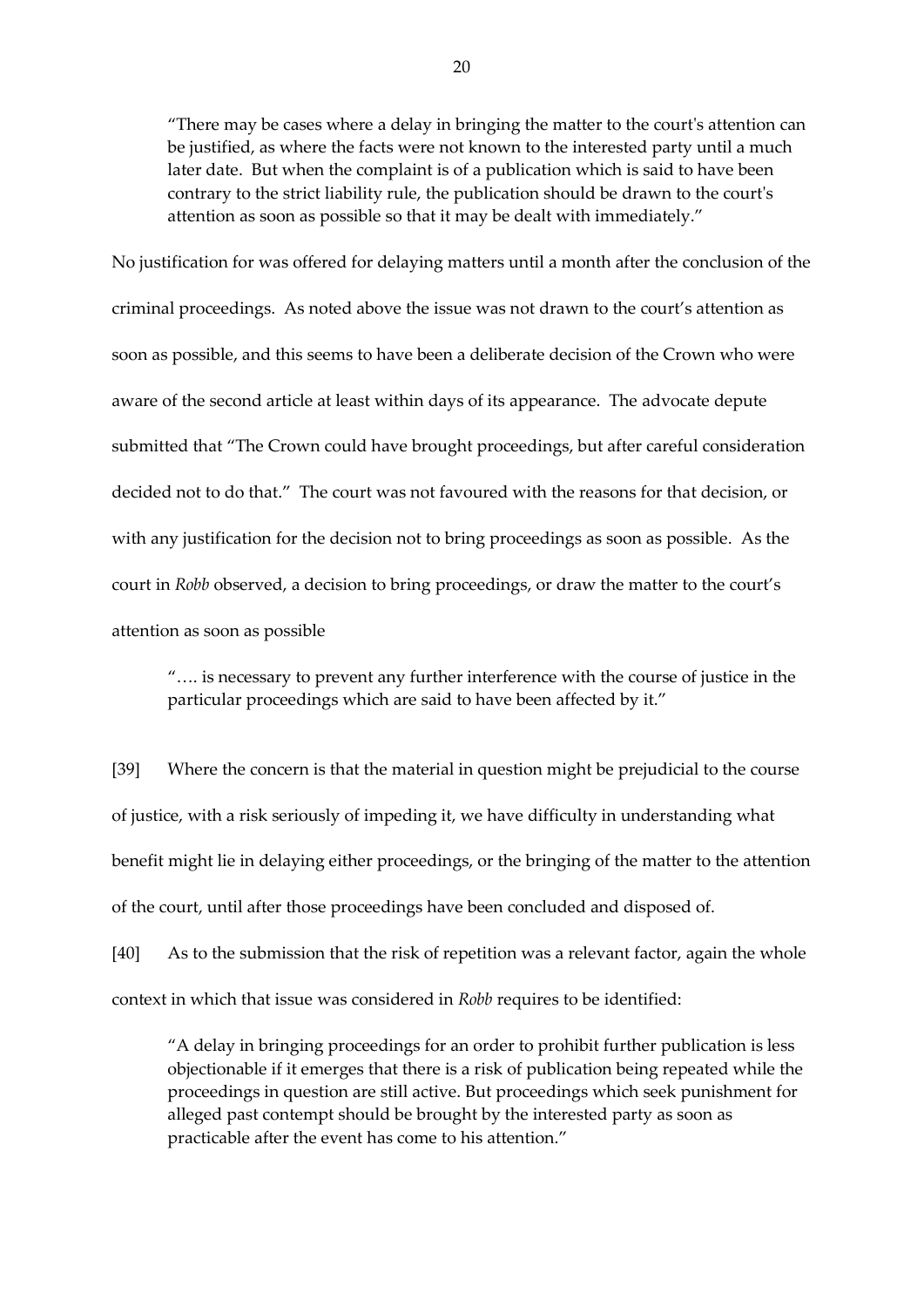"There may be cases where a delay in bringing the matter to the court's attention can be justified, as where the facts were not known to the interested party until a much later date. But when the complaint is of a publication which is said to have been contrary to the strict liability rule, the publication should be drawn to the court's attention as soon as possible so that it may be dealt with immediately."

No justification for was offered for delaying matters until a month after the conclusion of the criminal proceedings. As noted above the issue was not drawn to the court's attention as soon as possible, and this seems to have been a deliberate decision of the Crown who were aware of the second article at least within days of its appearance. The advocate depute submitted that "The Crown could have brought proceedings, but after careful consideration decided not to do that." The court was not favoured with the reasons for that decision, or with any justification for the decision not to bring proceedings as soon as possible. As the court in *Robb* observed, a decision to bring proceedings, or draw the matter to the court's attention as soon as possible

"…. is necessary to prevent any further interference with the course of justice in the particular proceedings which are said to have been affected by it."

[39] Where the concern is that the material in question might be prejudicial to the course of justice, with a risk seriously of impeding it, we have difficulty in understanding what benefit might lie in delaying either proceedings, or the bringing of the matter to the attention of the court, until after those proceedings have been concluded and disposed of.

[40] As to the submission that the risk of repetition was a relevant factor, again the whole context in which that issue was considered in *Robb* requires to be identified:

"A delay in bringing proceedings for an order to prohibit further publication is less objectionable if it emerges that there is a risk of publication being repeated while the proceedings in question are still active. But proceedings which seek punishment for alleged past contempt should be brought by the interested party as soon as practicable after the event has come to his attention."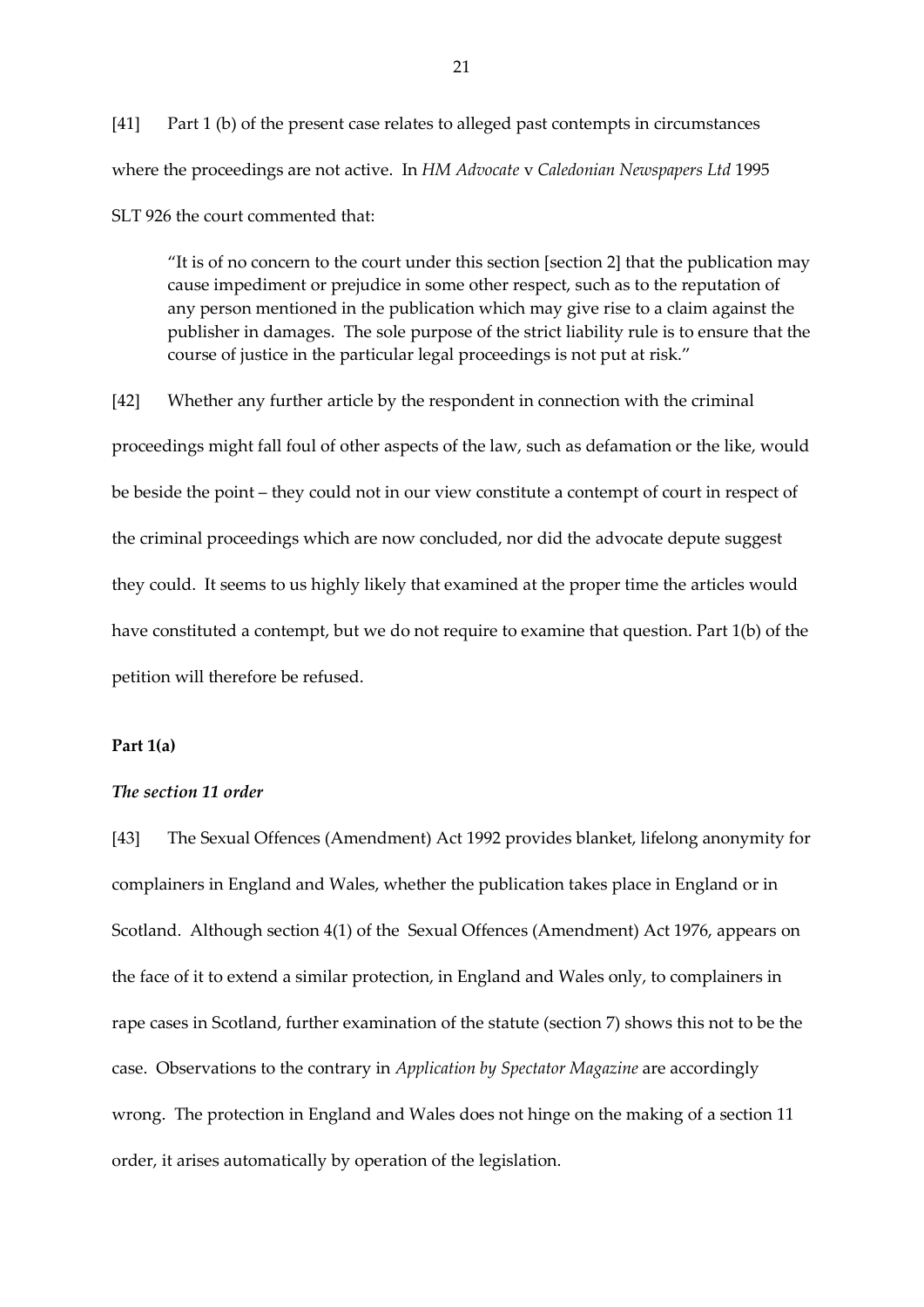[41] Part 1 (b) of the present case relates to alleged past contempts in circumstances where the proceedings are not active. In *HM Advocate* v *Caledonian Newspapers Ltd* 1995 SLT 926 the court commented that:

"It is of no concern to the court under this section [section 2] that the publication may cause impediment or prejudice in some other respect, such as to the reputation of any person mentioned in the publication which may give rise to a claim against the publisher in damages. The sole purpose of the strict liability rule is to ensure that the course of justice in the particular legal proceedings is not put at risk."

[42] Whether any further article by the respondent in connection with the criminal proceedings might fall foul of other aspects of the law, such as defamation or the like, would be beside the point – they could not in our view constitute a contempt of court in respect of the criminal proceedings which are now concluded, nor did the advocate depute suggest they could. It seems to us highly likely that examined at the proper time the articles would have constituted a contempt, but we do not require to examine that question. Part 1(b) of the petition will therefore be refused.

## **Part 1(a)**

### *The section 11 order*

[43] The Sexual Offences (Amendment) Act 1992 provides blanket, lifelong anonymity for complainers in England and Wales, whether the publication takes place in England or in Scotland. Although section 4(1) of the Sexual Offences (Amendment) Act 1976, appears on the face of it to extend a similar protection, in England and Wales only, to complainers in rape cases in Scotland, further examination of the statute (section 7) shows this not to be the case. Observations to the contrary in *Application by Spectator Magazine* are accordingly wrong. The protection in England and Wales does not hinge on the making of a section 11 order, it arises automatically by operation of the legislation.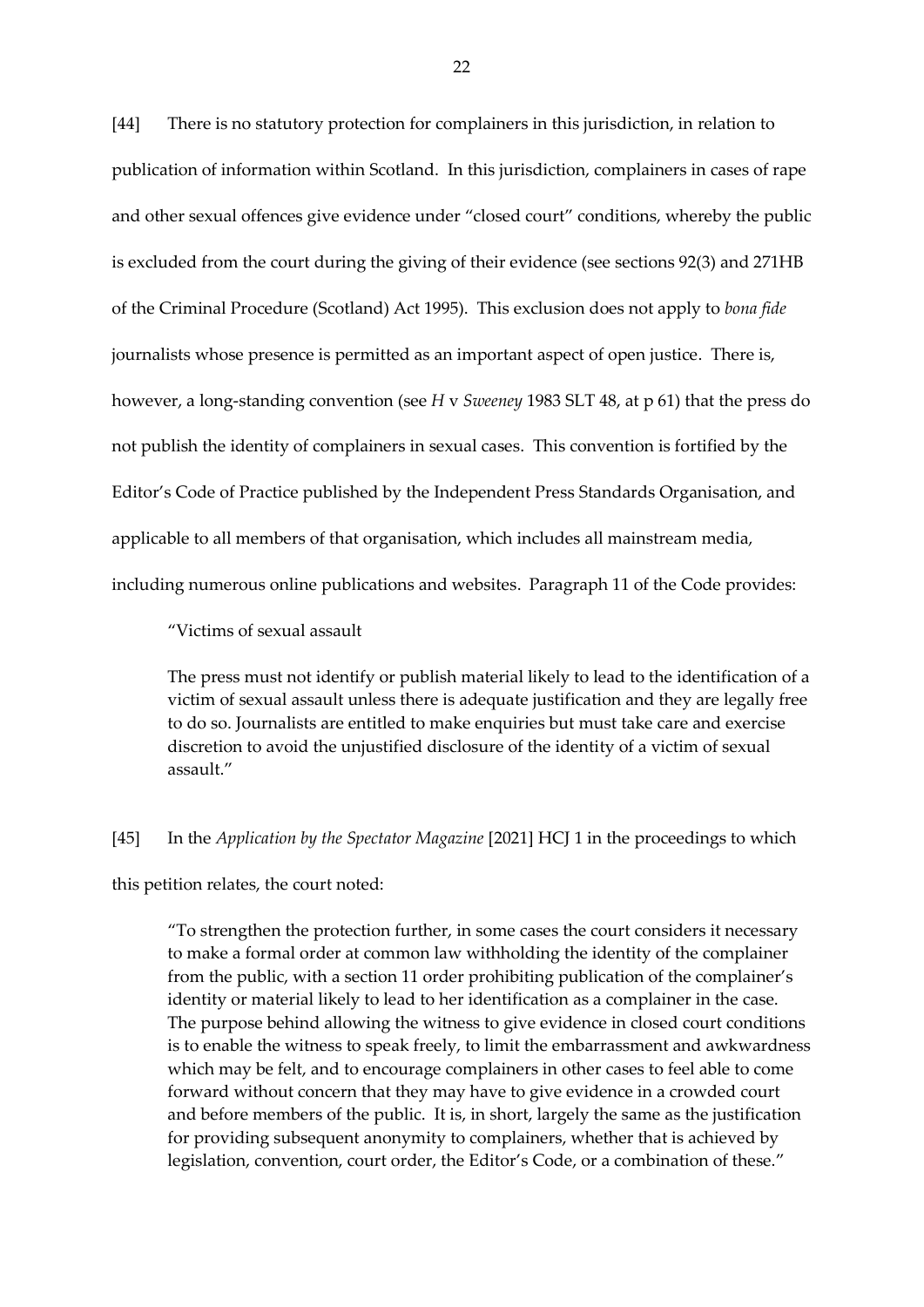[44] There is no statutory protection for complainers in this jurisdiction, in relation to publication of information within Scotland. In this jurisdiction, complainers in cases of rape and other sexual offences give evidence under "closed court" conditions, whereby the public is excluded from the court during the giving of their evidence (see sections 92(3) and 271HB of the Criminal Procedure (Scotland) Act 1995). This exclusion does not apply to *bona fide* journalists whose presence is permitted as an important aspect of open justice. There is, however, a long-standing convention (see *H* v *Sweeney* 1983 SLT 48, at p 61) that the press do not publish the identity of complainers in sexual cases. This convention is fortified by the Editor's Code of Practice published by the Independent Press Standards Organisation, and applicable to all members of that organisation, which includes all mainstream media, including numerous online publications and websites. Paragraph 11 of the Code provides:

"Victims of sexual assault

The press must not identify or publish material likely to lead to the identification of a victim of sexual assault unless there is adequate justification and they are legally free to do so. Journalists are entitled to make enquiries but must take care and exercise discretion to avoid the unjustified disclosure of the identity of a victim of sexual assault."

#### [45] In the *Application by the Spectator Magazine* [2021] HCJ 1 in the proceedings to which

this petition relates, the court noted:

"To strengthen the protection further, in some cases the court considers it necessary to make a formal order at common law withholding the identity of the complainer from the public, with a section 11 order prohibiting publication of the complainer's identity or material likely to lead to her identification as a complainer in the case. The purpose behind allowing the witness to give evidence in closed court conditions is to enable the witness to speak freely, to limit the embarrassment and awkwardness which may be felt, and to encourage complainers in other cases to feel able to come forward without concern that they may have to give evidence in a crowded court and before members of the public. It is, in short, largely the same as the justification for providing subsequent anonymity to complainers, whether that is achieved by legislation, convention, court order, the Editor's Code, or a combination of these."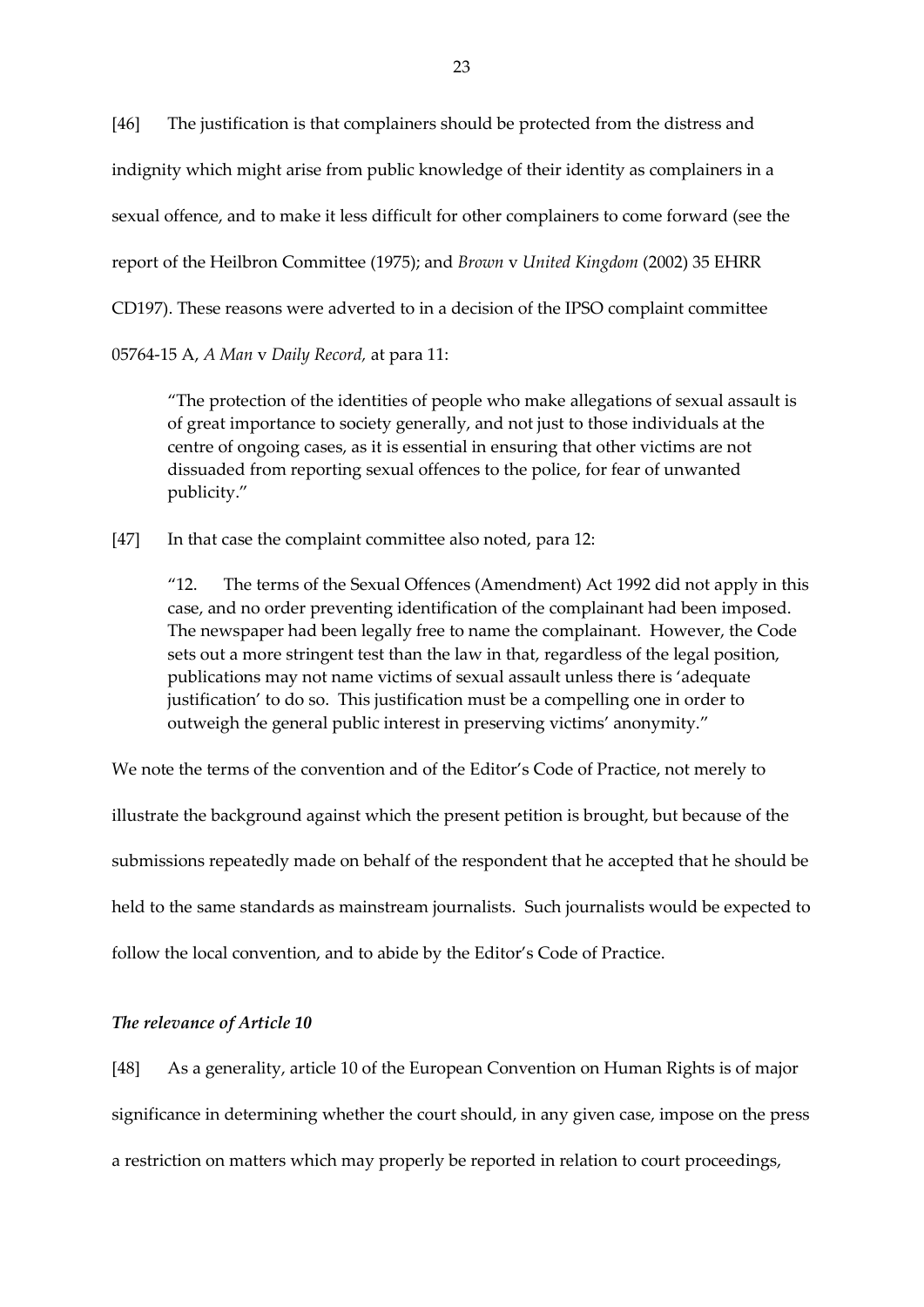[46] The justification is that complainers should be protected from the distress and indignity which might arise from public knowledge of their identity as complainers in a sexual offence, and to make it less difficult for other complainers to come forward (see the report of the Heilbron Committee (1975); and *Brown* v *United Kingdom* (2002) 35 EHRR CD197). These reasons were adverted to in a decision of the IPSO complaint committee 05764-15 A, *A Man* v *Daily Record,* at para 11:

"The protection of the identities of people who make allegations of sexual assault is of great importance to society generally, and not just to those individuals at the centre of ongoing cases, as it is essential in ensuring that other victims are not dissuaded from reporting sexual offences to the police, for fear of unwanted publicity."

[47] In that case the complaint committee also noted, para 12:

"12. The terms of the Sexual Offences (Amendment) Act 1992 did not apply in this case, and no order preventing identification of the complainant had been imposed. The newspaper had been legally free to name the complainant. However, the Code sets out a more stringent test than the law in that, regardless of the legal position, publications may not name victims of sexual assault unless there is 'adequate justification' to do so. This justification must be a compelling one in order to outweigh the general public interest in preserving victims' anonymity."

We note the terms of the convention and of the Editor's Code of Practice, not merely to illustrate the background against which the present petition is brought, but because of the submissions repeatedly made on behalf of the respondent that he accepted that he should be held to the same standards as mainstream journalists. Such journalists would be expected to follow the local convention, and to abide by the Editor's Code of Practice.

#### *The relevance of Article 10*

[48] As a generality, article 10 of the European Convention on Human Rights is of major significance in determining whether the court should, in any given case, impose on the press a restriction on matters which may properly be reported in relation to court proceedings,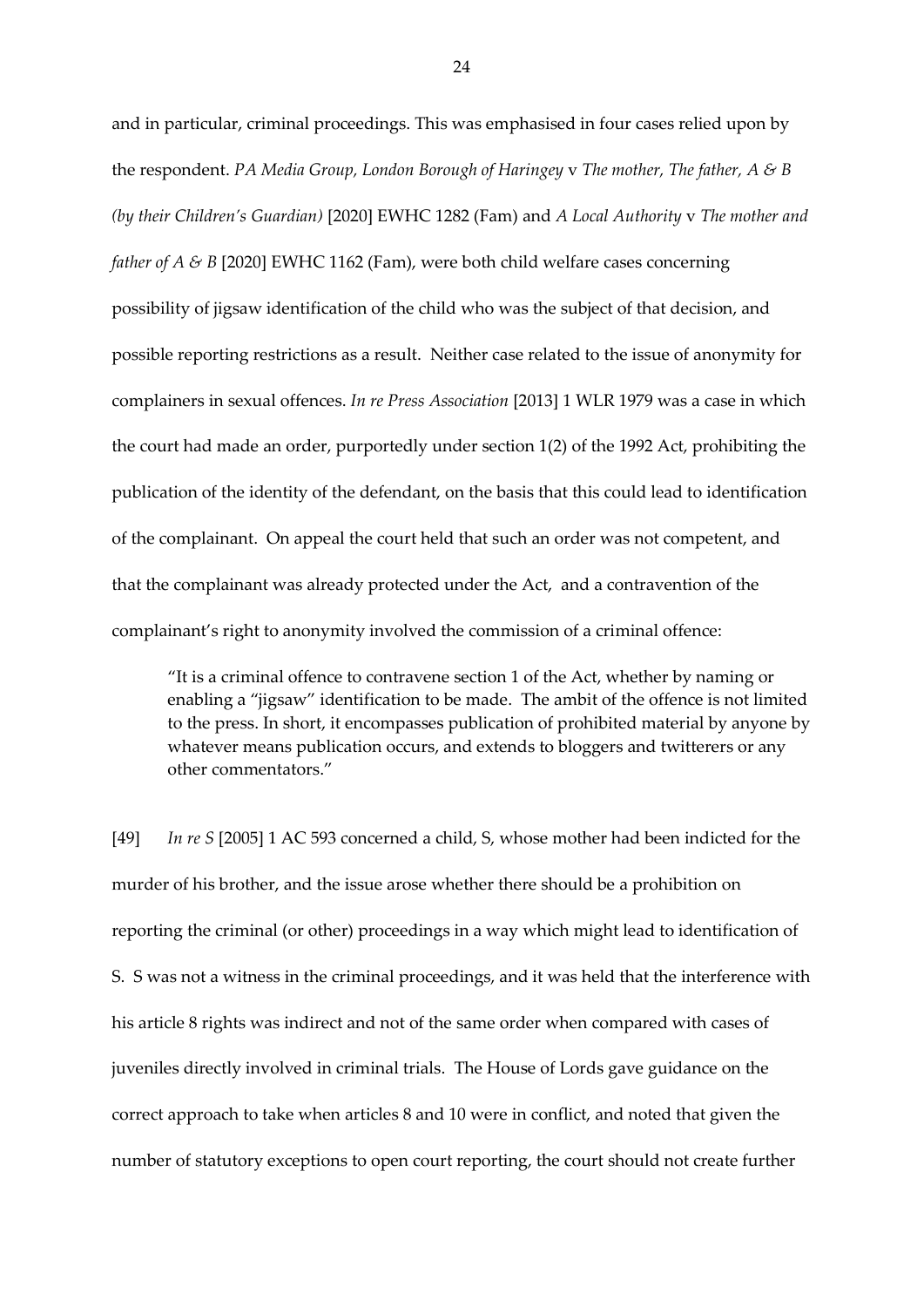and in particular, criminal proceedings. This was emphasised in four cases relied upon by the respondent. *PA Media Group, London Borough of Haringey* v *The mother, The father, A & B (by their Children's Guardian)* [2020] EWHC 1282 (Fam) and *A Local Authority* v *The mother and father of A & B* [2020] EWHC 1162 (Fam), were both child welfare cases concerning possibility of jigsaw identification of the child who was the subject of that decision, and possible reporting restrictions as a result. Neither case related to the issue of anonymity for complainers in sexual offences. *In re Press Association* [2013] 1 WLR 1979 was a case in which the court had made an order, purportedly under section 1(2) of the 1992 Act, prohibiting the publication of the identity of the defendant, on the basis that this could lead to identification of the complainant. On appeal the court held that such an order was not competent, and that the complainant was already protected under the Act, and a contravention of the complainant's right to anonymity involved the commission of a criminal offence:

"It is a criminal offence to contravene section 1 of the Act, whether by naming or enabling a "jigsaw" identification to be made. The ambit of the offence is not limited to the press. In short, it encompasses publication of prohibited material by anyone by whatever means publication occurs, and extends to bloggers and twitterers or any other commentators."

[49] *In re S* [2005] 1 AC 593 concerned a child, S, whose mother had been indicted for the murder of his brother, and the issue arose whether there should be a prohibition on reporting the criminal (or other) proceedings in a way which might lead to identification of S. S was not a witness in the criminal proceedings, and it was held that the interference with his article 8 rights was indirect and not of the same order when compared with cases of juveniles directly involved in criminal trials. The House of Lords gave guidance on the correct approach to take when articles 8 and 10 were in conflict, and noted that given the number of statutory exceptions to open court reporting, the court should not create further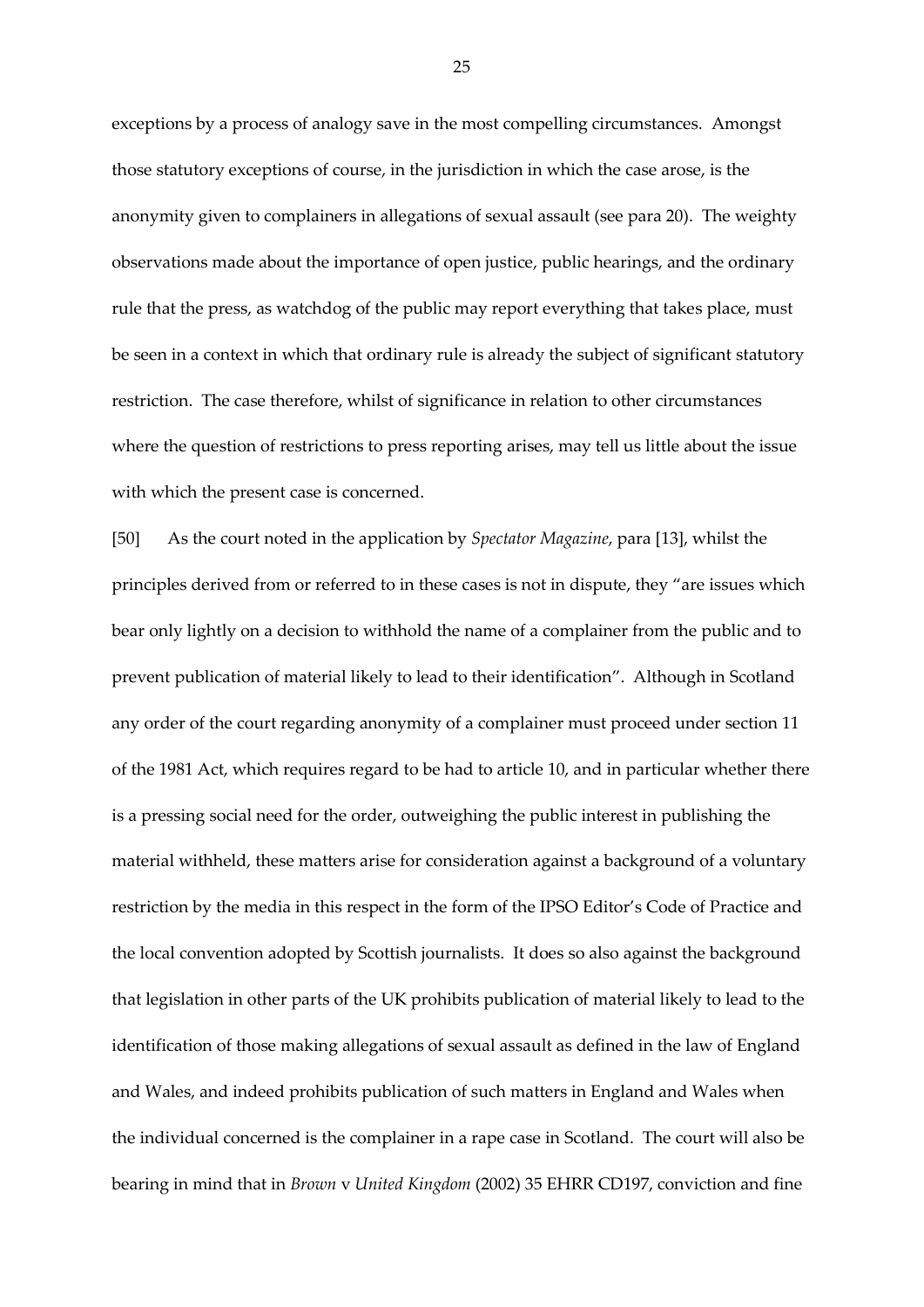exceptions by a process of analogy save in the most compelling circumstances. Amongst those statutory exceptions of course, in the jurisdiction in which the case arose, is the anonymity given to complainers in allegations of sexual assault (see para 20). The weighty observations made about the importance of open justice, public hearings, and the ordinary rule that the press, as watchdog of the public may report everything that takes place, must be seen in a context in which that ordinary rule is already the subject of significant statutory restriction. The case therefore, whilst of significance in relation to other circumstances where the question of restrictions to press reporting arises, may tell us little about the issue with which the present case is concerned.

[50] As the court noted in the application by *Spectator Magazine*, para [13], whilst the principles derived from or referred to in these cases is not in dispute, they "are issues which bear only lightly on a decision to withhold the name of a complainer from the public and to prevent publication of material likely to lead to their identification". Although in Scotland any order of the court regarding anonymity of a complainer must proceed under section 11 of the 1981 Act, which requires regard to be had to article 10, and in particular whether there is a pressing social need for the order, outweighing the public interest in publishing the material withheld, these matters arise for consideration against a background of a voluntary restriction by the media in this respect in the form of the IPSO Editor's Code of Practice and the local convention adopted by Scottish journalists. It does so also against the background that legislation in other parts of the UK prohibits publication of material likely to lead to the identification of those making allegations of sexual assault as defined in the law of England and Wales, and indeed prohibits publication of such matters in England and Wales when the individual concerned is the complainer in a rape case in Scotland. The court will also be bearing in mind that in *Brown* v *United Kingdom* (2002) 35 EHRR CD197, conviction and fine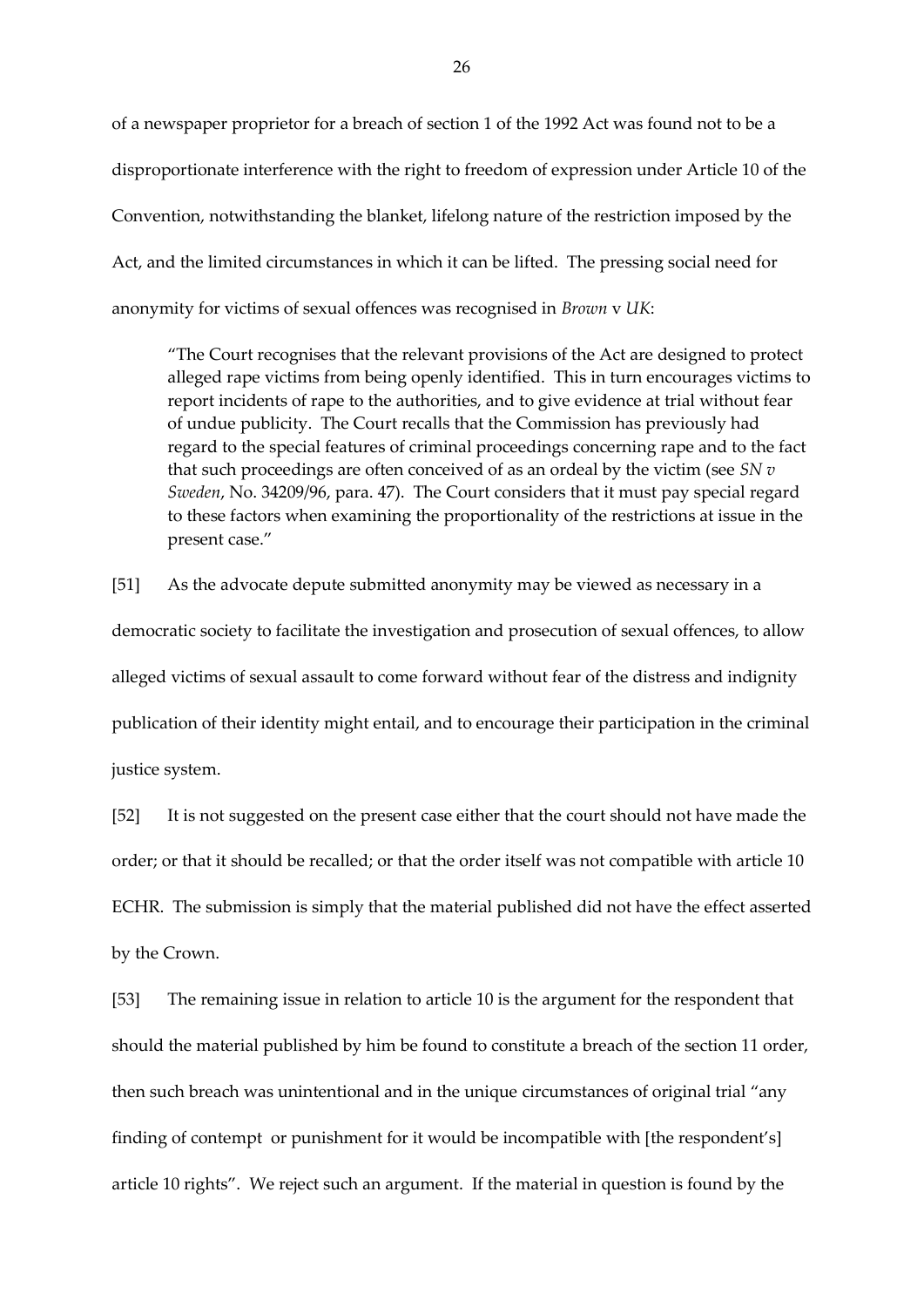of a newspaper proprietor for a breach of section 1 of the 1992 Act was found not to be a disproportionate interference with the right to freedom of expression under Article 10 of the Convention, notwithstanding the blanket, lifelong nature of the restriction imposed by the Act, and the limited circumstances in which it can be lifted. The pressing social need for anonymity for victims of sexual offences was recognised in *Brown* v *UK*:

"The Court recognises that the relevant provisions of the Act are designed to protect alleged rape victims from being openly identified. This in turn encourages victims to report incidents of rape to the authorities, and to give evidence at trial without fear of undue publicity. The Court recalls that the Commission has previously had regard to the special features of criminal proceedings concerning rape and to the fact that such proceedings are often conceived of as an ordeal by the victim (see *SN v Sweden*, No. 34209/96, para. 47). The Court considers that it must pay special regard to these factors when examining the proportionality of the restrictions at issue in the present case."

[51] As the advocate depute submitted anonymity may be viewed as necessary in a democratic society to facilitate the investigation and prosecution of sexual offences, to allow alleged victims of sexual assault to come forward without fear of the distress and indignity publication of their identity might entail, and to encourage their participation in the criminal justice system.

[52] It is not suggested on the present case either that the court should not have made the order; or that it should be recalled; or that the order itself was not compatible with article 10 ECHR. The submission is simply that the material published did not have the effect asserted by the Crown.

[53] The remaining issue in relation to article 10 is the argument for the respondent that should the material published by him be found to constitute a breach of the section 11 order, then such breach was unintentional and in the unique circumstances of original trial "any finding of contempt or punishment for it would be incompatible with [the respondent's] article 10 rights". We reject such an argument. If the material in question is found by the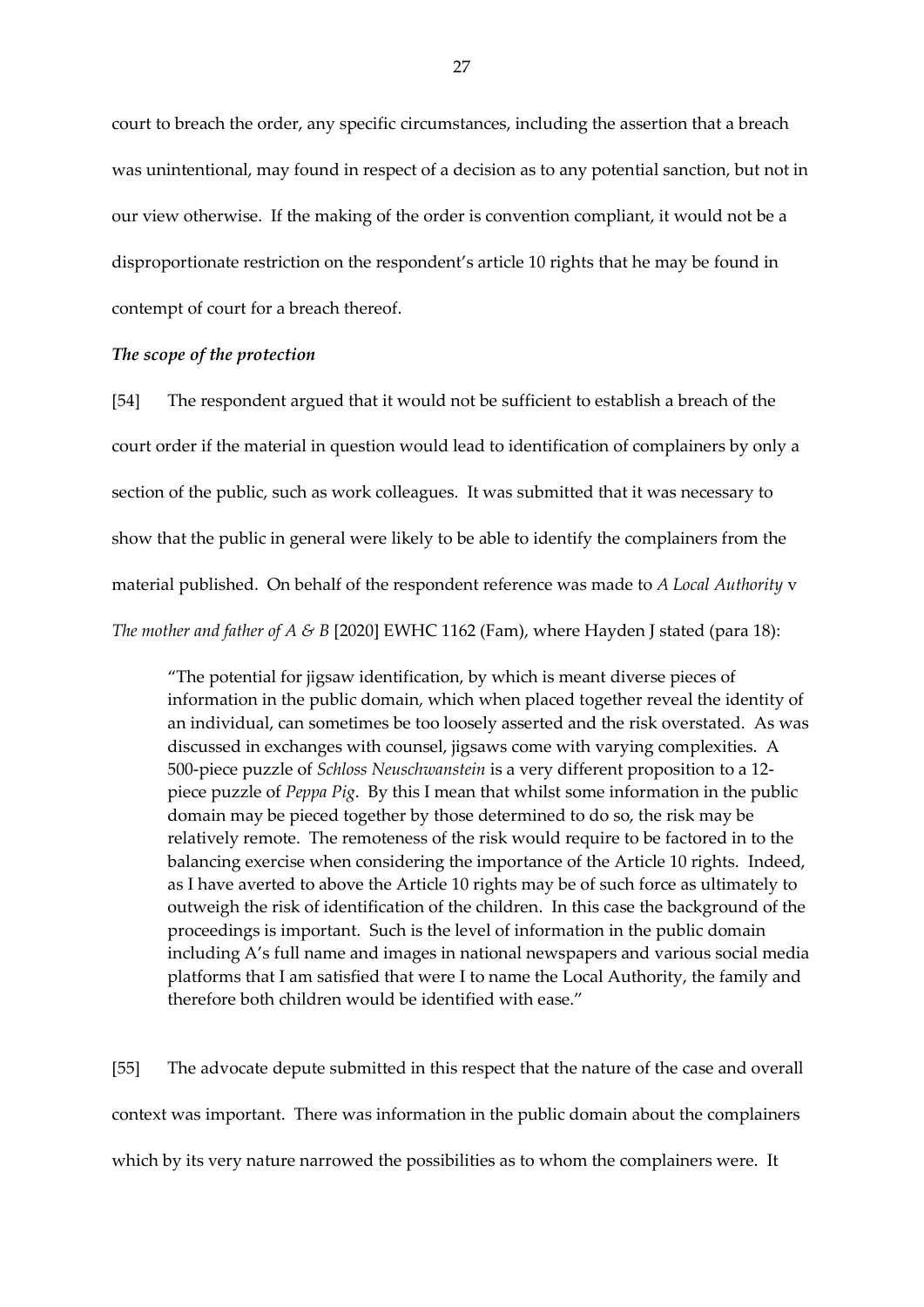court to breach the order, any specific circumstances, including the assertion that a breach was unintentional, may found in respect of a decision as to any potential sanction, but not in our view otherwise. If the making of the order is convention compliant, it would not be a disproportionate restriction on the respondent's article 10 rights that he may be found in contempt of court for a breach thereof.

### *The scope of the protection*

[54] The respondent argued that it would not be sufficient to establish a breach of the court order if the material in question would lead to identification of complainers by only a section of the public, such as work colleagues. It was submitted that it was necessary to show that the public in general were likely to be able to identify the complainers from the material published. On behalf of the respondent reference was made to *A Local Authority* v *The mother and father of A & B* [2020] EWHC 1162 (Fam), where Hayden J stated (para 18):

"The potential for jigsaw identification, by which is meant diverse pieces of information in the public domain, which when placed together reveal the identity of an individual, can sometimes be too loosely asserted and the risk overstated. As was discussed in exchanges with counsel, jigsaws come with varying complexities. A 500-piece puzzle of *Schloss Neuschwanstein* is a very different proposition to a 12 piece puzzle of *Peppa Pig*. By this I mean that whilst some information in the public domain may be pieced together by those determined to do so, the risk may be relatively remote. The remoteness of the risk would require to be factored in to the balancing exercise when considering the importance of the Article 10 rights. Indeed, as I have averted to above the Article 10 rights may be of such force as ultimately to outweigh the risk of identification of the children. In this case the background of the proceedings is important. Such is the level of information in the public domain including A's full name and images in national newspapers and various social media platforms that I am satisfied that were I to name the Local Authority, the family and therefore both children would be identified with ease."

[55] The advocate depute submitted in this respect that the nature of the case and overall context was important. There was information in the public domain about the complainers which by its very nature narrowed the possibilities as to whom the complainers were. It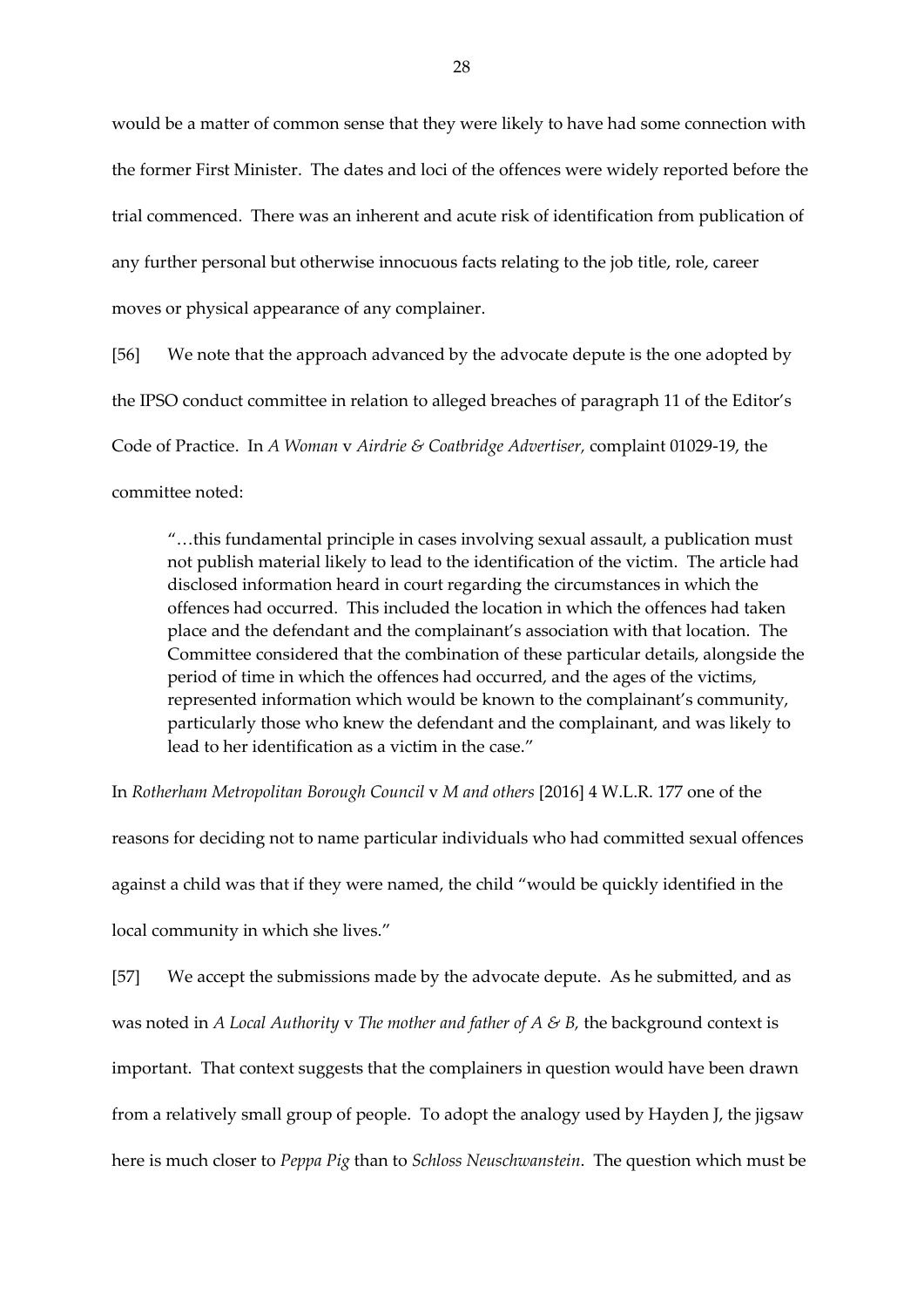would be a matter of common sense that they were likely to have had some connection with the former First Minister. The dates and loci of the offences were widely reported before the trial commenced. There was an inherent and acute risk of identification from publication of any further personal but otherwise innocuous facts relating to the job title, role, career moves or physical appearance of any complainer.

[56] We note that the approach advanced by the advocate depute is the one adopted by the IPSO conduct committee in relation to alleged breaches of paragraph 11 of the Editor's Code of Practice. In *A Woman* v *Airdrie & Coatbridge Advertiser,* complaint 01029-19, the committee noted:

"…this fundamental principle in cases involving sexual assault, a publication must not publish material likely to lead to the identification of the victim. The article had disclosed information heard in court regarding the circumstances in which the offences had occurred. This included the location in which the offences had taken place and the defendant and the complainant's association with that location. The Committee considered that the combination of these particular details, alongside the period of time in which the offences had occurred, and the ages of the victims, represented information which would be known to the complainant's community, particularly those who knew the defendant and the complainant, and was likely to lead to her identification as a victim in the case."

In *Rotherham Metropolitan Borough Council* v *M and others* [2016] 4 W.L.R. 177 one of the

reasons for deciding not to name particular individuals who had committed sexual offences against a child was that if they were named, the child "would be quickly identified in the local community in which she lives."

[57] We accept the submissions made by the advocate depute. As he submitted, and as was noted in *A Local Authority* v *The mother and father of A & B,* the background context is important. That context suggests that the complainers in question would have been drawn from a relatively small group of people. To adopt the analogy used by Hayden J, the jigsaw here is much closer to *Peppa Pig* than to *Schloss Neuschwanstein*. The question which must be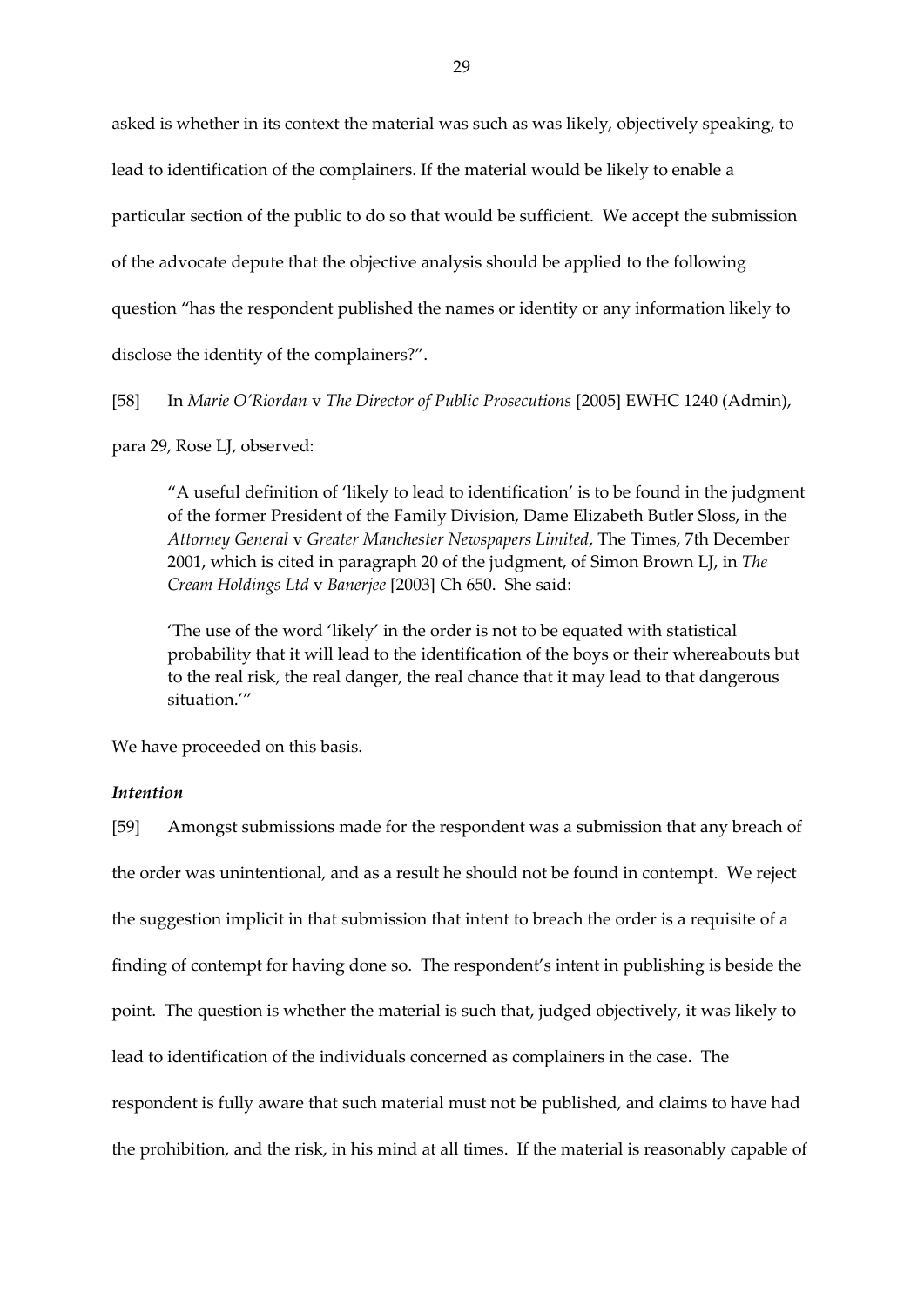asked is whether in its context the material was such as was likely, objectively speaking, to lead to identification of the complainers. If the material would be likely to enable a particular section of the public to do so that would be sufficient. We accept the submission of the advocate depute that the objective analysis should be applied to the following question "has the respondent published the names or identity or any information likely to disclose the identity of the complainers?".

[58] In *Marie O'Riordan* v *The Director of Public Prosecutions* [2005] EWHC 1240 (Admin),

para 29, Rose LJ, observed:

"A useful definition of 'likely to lead to identification' is to be found in the judgment of the former President of the Family Division, Dame Elizabeth Butler Sloss, in the *Attorney General* v *Greater Manchester Newspapers Limited*, The Times, 7th December 2001, which is cited in paragraph 20 of the judgment, of Simon Brown LJ, in *The Cream Holdings Ltd* v *Banerjee* [2003] Ch 650. She said:

'The use of the word 'likely' in the order is not to be equated with statistical probability that it will lead to the identification of the boys or their whereabouts but to the real risk, the real danger, the real chance that it may lead to that dangerous situation.'"

We have proceeded on this basis.

#### *Intention*

[59] Amongst submissions made for the respondent was a submission that any breach of the order was unintentional, and as a result he should not be found in contempt. We reject the suggestion implicit in that submission that intent to breach the order is a requisite of a finding of contempt for having done so. The respondent's intent in publishing is beside the point. The question is whether the material is such that, judged objectively, it was likely to lead to identification of the individuals concerned as complainers in the case. The respondent is fully aware that such material must not be published, and claims to have had the prohibition, and the risk, in his mind at all times. If the material is reasonably capable of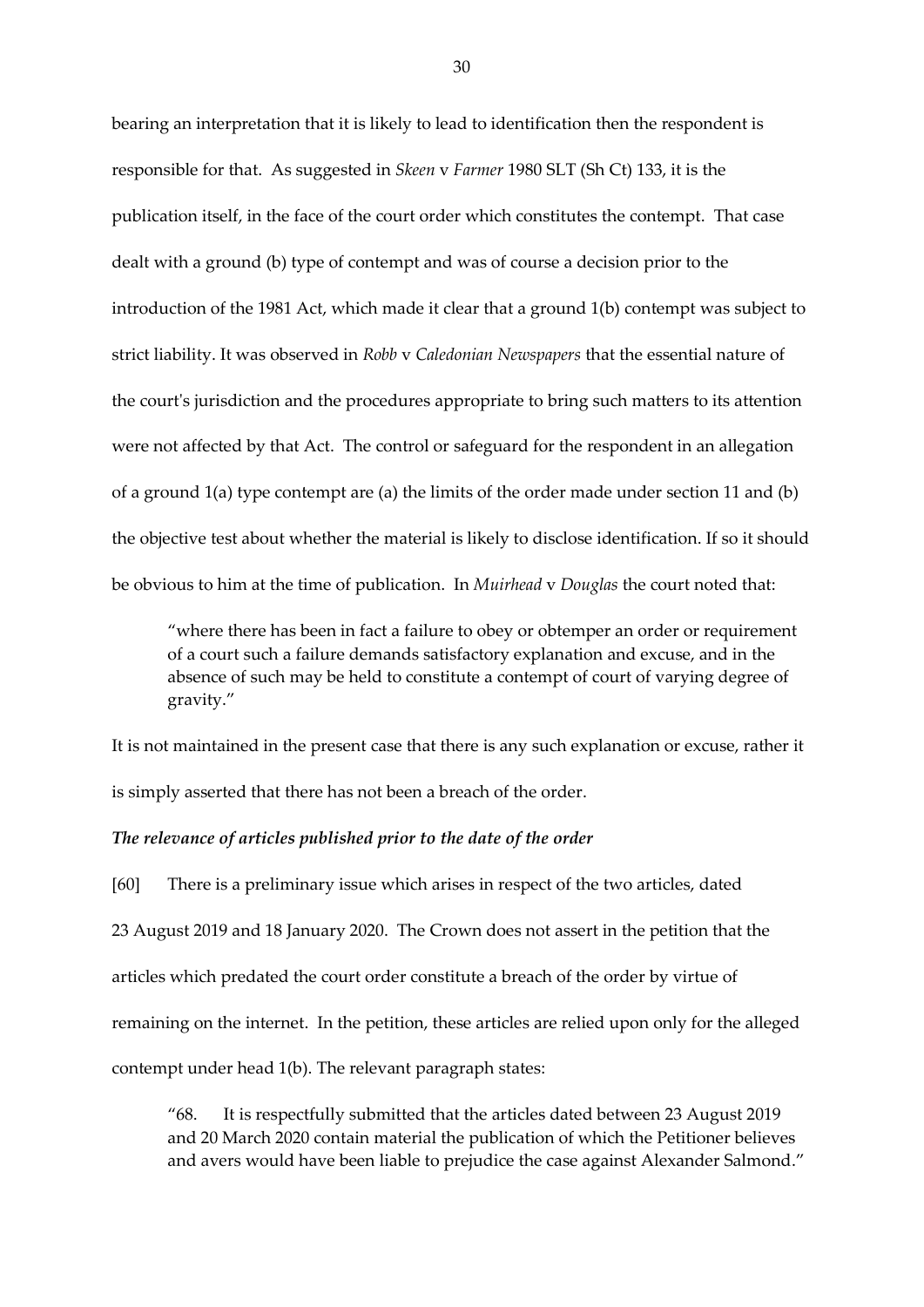bearing an interpretation that it is likely to lead to identification then the respondent is responsible for that. As suggested in *Skeen* v *Farmer* 1980 SLT (Sh Ct) 133, it is the publication itself, in the face of the court order which constitutes the contempt. That case dealt with a ground (b) type of contempt and was of course a decision prior to the introduction of the 1981 Act, which made it clear that a ground 1(b) contempt was subject to strict liability. It was observed in *Robb* v *Caledonian Newspapers* that the essential nature of the court's jurisdiction and the procedures appropriate to bring such matters to its attention were not affected by that Act. The control or safeguard for the respondent in an allegation of a ground  $1(a)$  type contempt are  $(a)$  the limits of the order made under section 11 and  $(b)$ the objective test about whether the material is likely to disclose identification. If so it should be obvious to him at the time of publication. In *Muirhead* v *Douglas* the court noted that:

"where there has been in fact a failure to obey or obtemper an order or requirement of a court such a failure demands satisfactory explanation and excuse, and in the absence of such may be held to constitute a contempt of court of varying degree of gravity."

It is not maintained in the present case that there is any such explanation or excuse, rather it is simply asserted that there has not been a breach of the order.

#### *The relevance of articles published prior to the date of the order*

[60] There is a preliminary issue which arises in respect of the two articles, dated 23 August 2019 and 18 January 2020. The Crown does not assert in the petition that the articles which predated the court order constitute a breach of the order by virtue of remaining on the internet. In the petition, these articles are relied upon only for the alleged contempt under head 1(b). The relevant paragraph states:

"68. It is respectfully submitted that the articles dated between 23 August 2019 and 20 March 2020 contain material the publication of which the Petitioner believes and avers would have been liable to prejudice the case against Alexander Salmond."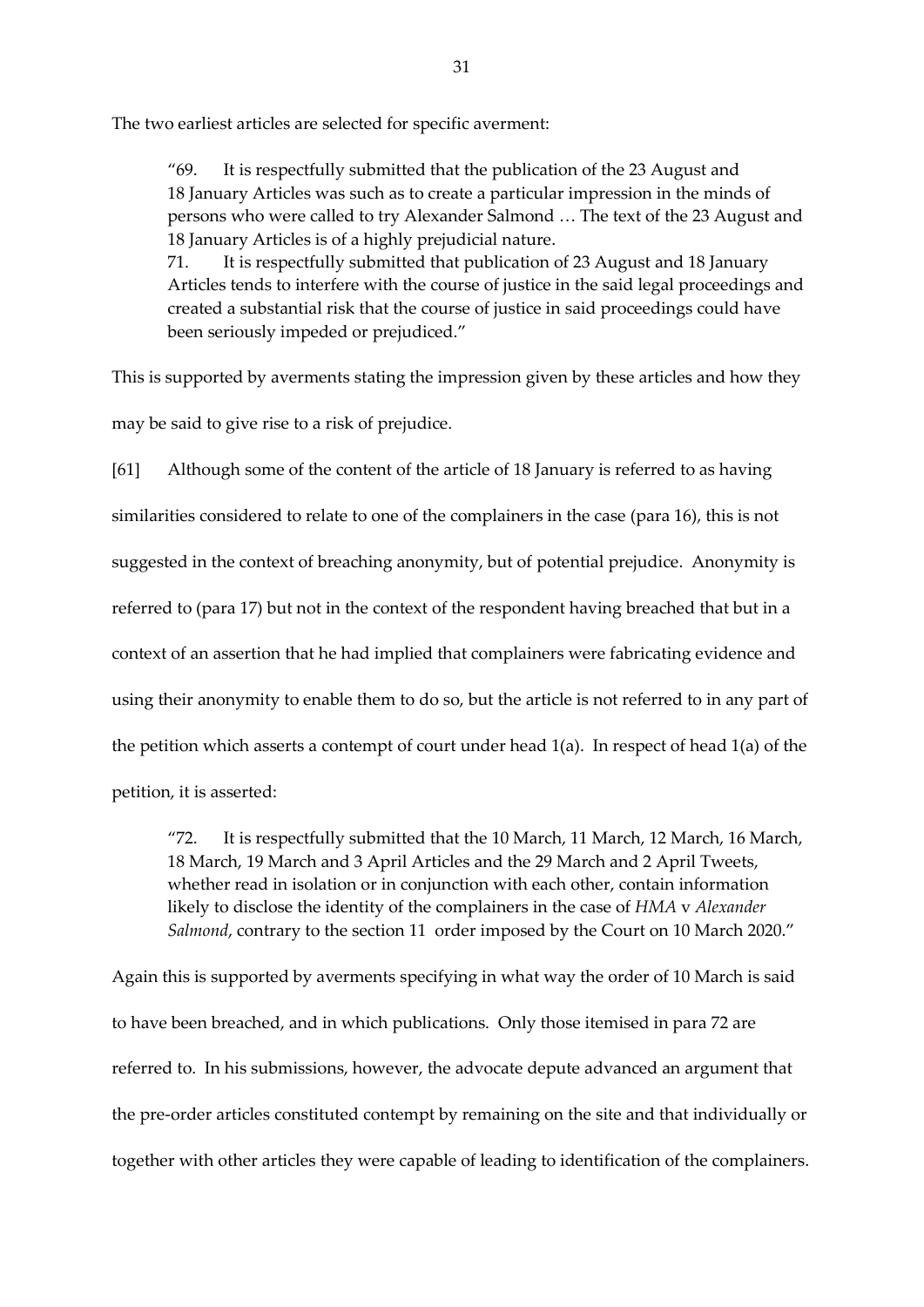The two earliest articles are selected for specific averment:

"69. It is respectfully submitted that the publication of the 23 August and 18 January Articles was such as to create a particular impression in the minds of persons who were called to try Alexander Salmond … The text of the 23 August and 18 January Articles is of a highly prejudicial nature.

71. It is respectfully submitted that publication of 23 August and 18 January Articles tends to interfere with the course of justice in the said legal proceedings and created a substantial risk that the course of justice in said proceedings could have been seriously impeded or prejudiced."

This is supported by averments stating the impression given by these articles and how they may be said to give rise to a risk of prejudice.

[61] Although some of the content of the article of 18 January is referred to as having similarities considered to relate to one of the complainers in the case (para 16), this is not suggested in the context of breaching anonymity, but of potential prejudice. Anonymity is referred to (para 17) but not in the context of the respondent having breached that but in a context of an assertion that he had implied that complainers were fabricating evidence and using their anonymity to enable them to do so, but the article is not referred to in any part of the petition which asserts a contempt of court under head  $1(a)$ . In respect of head  $1(a)$  of the petition, it is asserted:

"72. It is respectfully submitted that the 10 March, 11 March, 12 March, 16 March, 18 March, 19 March and 3 April Articles and the 29 March and 2 April Tweets, whether read in isolation or in conjunction with each other, contain information likely to disclose the identity of the complainers in the case of *HMA* v *Alexander Salmond*, contrary to the section 11 order imposed by the Court on 10 March 2020."

Again this is supported by averments specifying in what way the order of 10 March is said to have been breached, and in which publications. Only those itemised in para 72 are referred to. In his submissions, however, the advocate depute advanced an argument that the pre-order articles constituted contempt by remaining on the site and that individually or together with other articles they were capable of leading to identification of the complainers.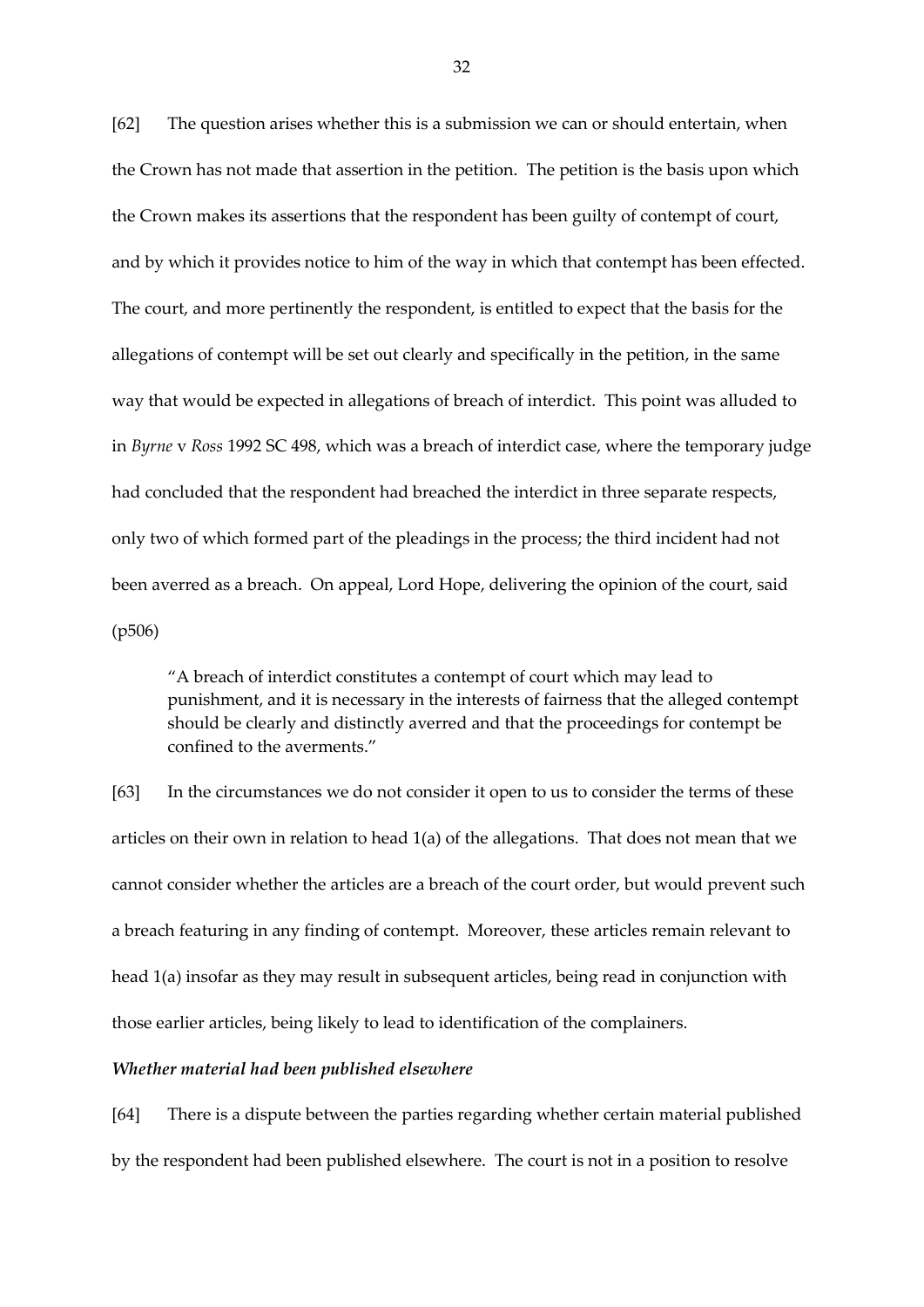[62] The question arises whether this is a submission we can or should entertain, when the Crown has not made that assertion in the petition. The petition is the basis upon which the Crown makes its assertions that the respondent has been guilty of contempt of court, and by which it provides notice to him of the way in which that contempt has been effected. The court, and more pertinently the respondent, is entitled to expect that the basis for the allegations of contempt will be set out clearly and specifically in the petition, in the same way that would be expected in allegations of breach of interdict. This point was alluded to in *Byrne* v *Ross* 1992 SC 498, which was a breach of interdict case, where the temporary judge had concluded that the respondent had breached the interdict in three separate respects, only two of which formed part of the pleadings in the process; the third incident had not been averred as a breach. On appeal, Lord Hope, delivering the opinion of the court, said (p506)

"A breach of interdict constitutes a contempt of court which may lead to punishment, and it is necessary in the interests of fairness that the alleged contempt should be clearly and distinctly averred and that the proceedings for contempt be confined to the averments."

[63] In the circumstances we do not consider it open to us to consider the terms of these articles on their own in relation to head 1(a) of the allegations. That does not mean that we cannot consider whether the articles are a breach of the court order, but would prevent such a breach featuring in any finding of contempt. Moreover, these articles remain relevant to head 1(a) insofar as they may result in subsequent articles, being read in conjunction with those earlier articles, being likely to lead to identification of the complainers.

#### *Whether material had been published elsewhere*

[64] There is a dispute between the parties regarding whether certain material published by the respondent had been published elsewhere. The court is not in a position to resolve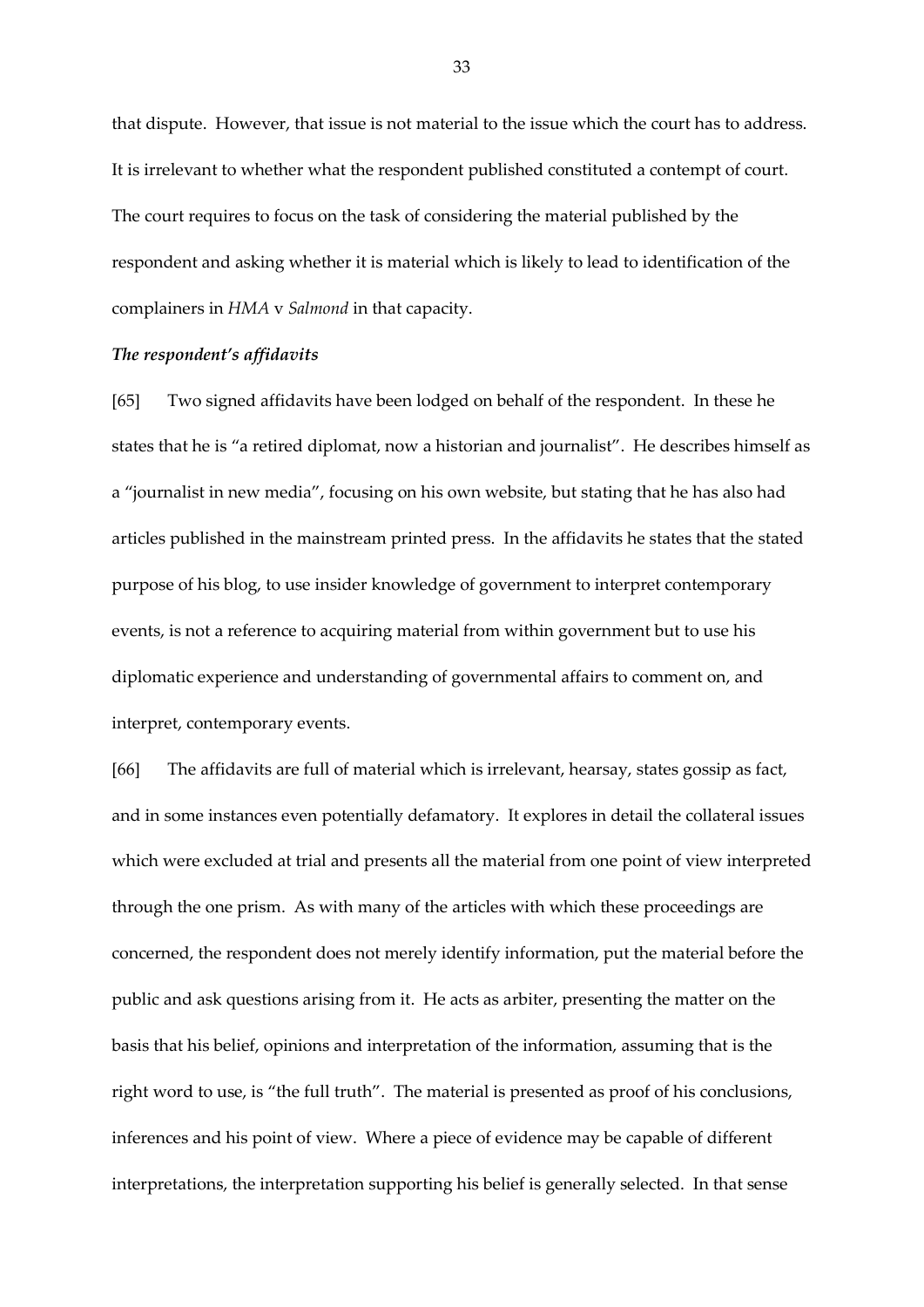that dispute. However, that issue is not material to the issue which the court has to address. It is irrelevant to whether what the respondent published constituted a contempt of court. The court requires to focus on the task of considering the material published by the respondent and asking whether it is material which is likely to lead to identification of the complainers in *HMA* v *Salmond* in that capacity.

### *The respondent's affidavits*

[65] Two signed affidavits have been lodged on behalf of the respondent. In these he states that he is "a retired diplomat, now a historian and journalist". He describes himself as a "journalist in new media", focusing on his own website, but stating that he has also had articles published in the mainstream printed press. In the affidavits he states that the stated purpose of his blog, to use insider knowledge of government to interpret contemporary events, is not a reference to acquiring material from within government but to use his diplomatic experience and understanding of governmental affairs to comment on, and interpret, contemporary events.

[66] The affidavits are full of material which is irrelevant, hearsay, states gossip as fact, and in some instances even potentially defamatory. It explores in detail the collateral issues which were excluded at trial and presents all the material from one point of view interpreted through the one prism. As with many of the articles with which these proceedings are concerned, the respondent does not merely identify information, put the material before the public and ask questions arising from it. He acts as arbiter, presenting the matter on the basis that his belief, opinions and interpretation of the information, assuming that is the right word to use, is "the full truth". The material is presented as proof of his conclusions, inferences and his point of view. Where a piece of evidence may be capable of different interpretations, the interpretation supporting his belief is generally selected. In that sense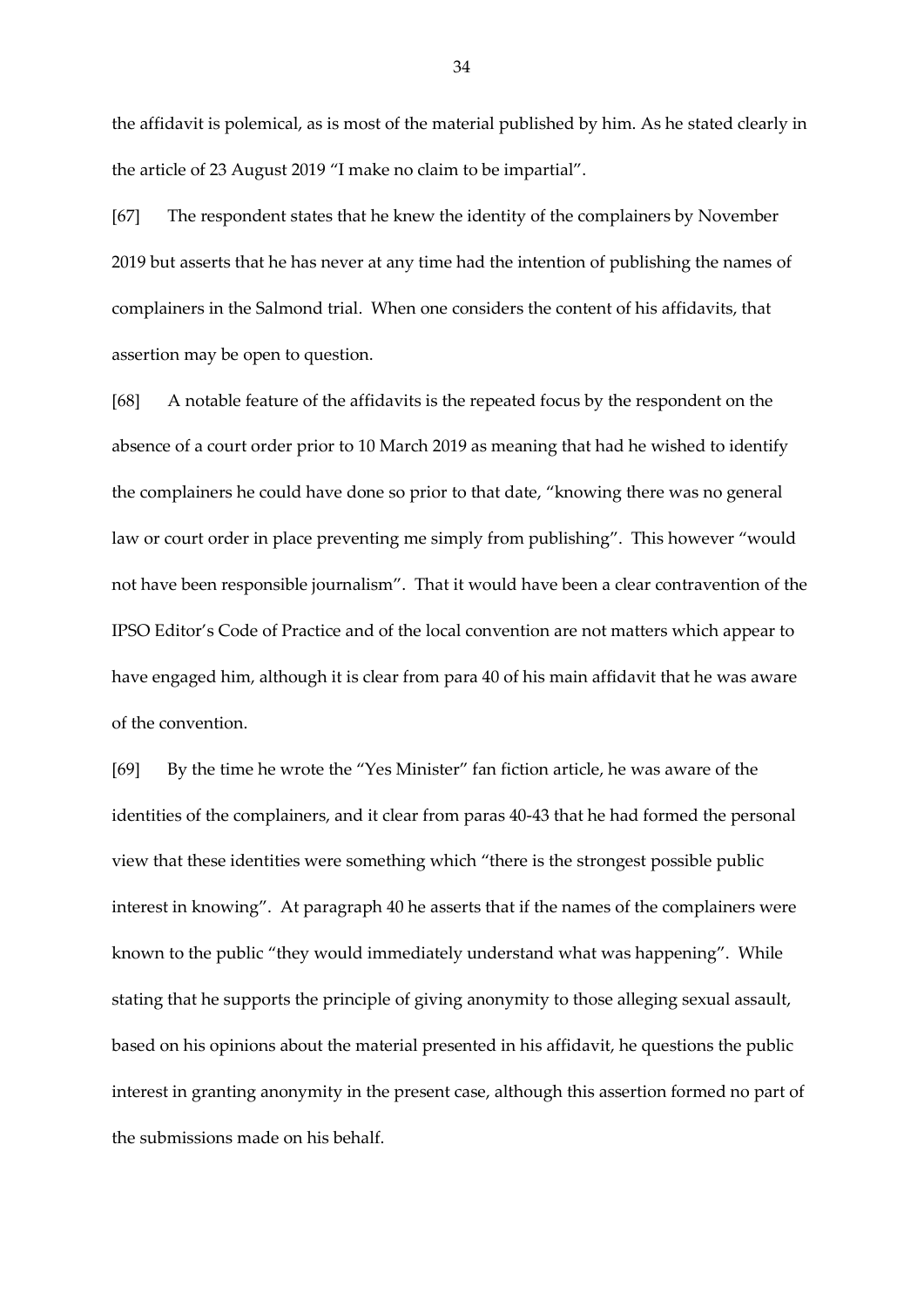the affidavit is polemical, as is most of the material published by him. As he stated clearly in the article of 23 August 2019 "I make no claim to be impartial".

[67] The respondent states that he knew the identity of the complainers by November 2019 but asserts that he has never at any time had the intention of publishing the names of complainers in the Salmond trial. When one considers the content of his affidavits, that assertion may be open to question.

[68] A notable feature of the affidavits is the repeated focus by the respondent on the absence of a court order prior to 10 March 2019 as meaning that had he wished to identify the complainers he could have done so prior to that date, "knowing there was no general law or court order in place preventing me simply from publishing". This however "would not have been responsible journalism". That it would have been a clear contravention of the IPSO Editor's Code of Practice and of the local convention are not matters which appear to have engaged him, although it is clear from para 40 of his main affidavit that he was aware of the convention.

[69] By the time he wrote the "Yes Minister" fan fiction article, he was aware of the identities of the complainers, and it clear from paras 40-43 that he had formed the personal view that these identities were something which "there is the strongest possible public interest in knowing". At paragraph 40 he asserts that if the names of the complainers were known to the public "they would immediately understand what was happening". While stating that he supports the principle of giving anonymity to those alleging sexual assault, based on his opinions about the material presented in his affidavit, he questions the public interest in granting anonymity in the present case, although this assertion formed no part of the submissions made on his behalf.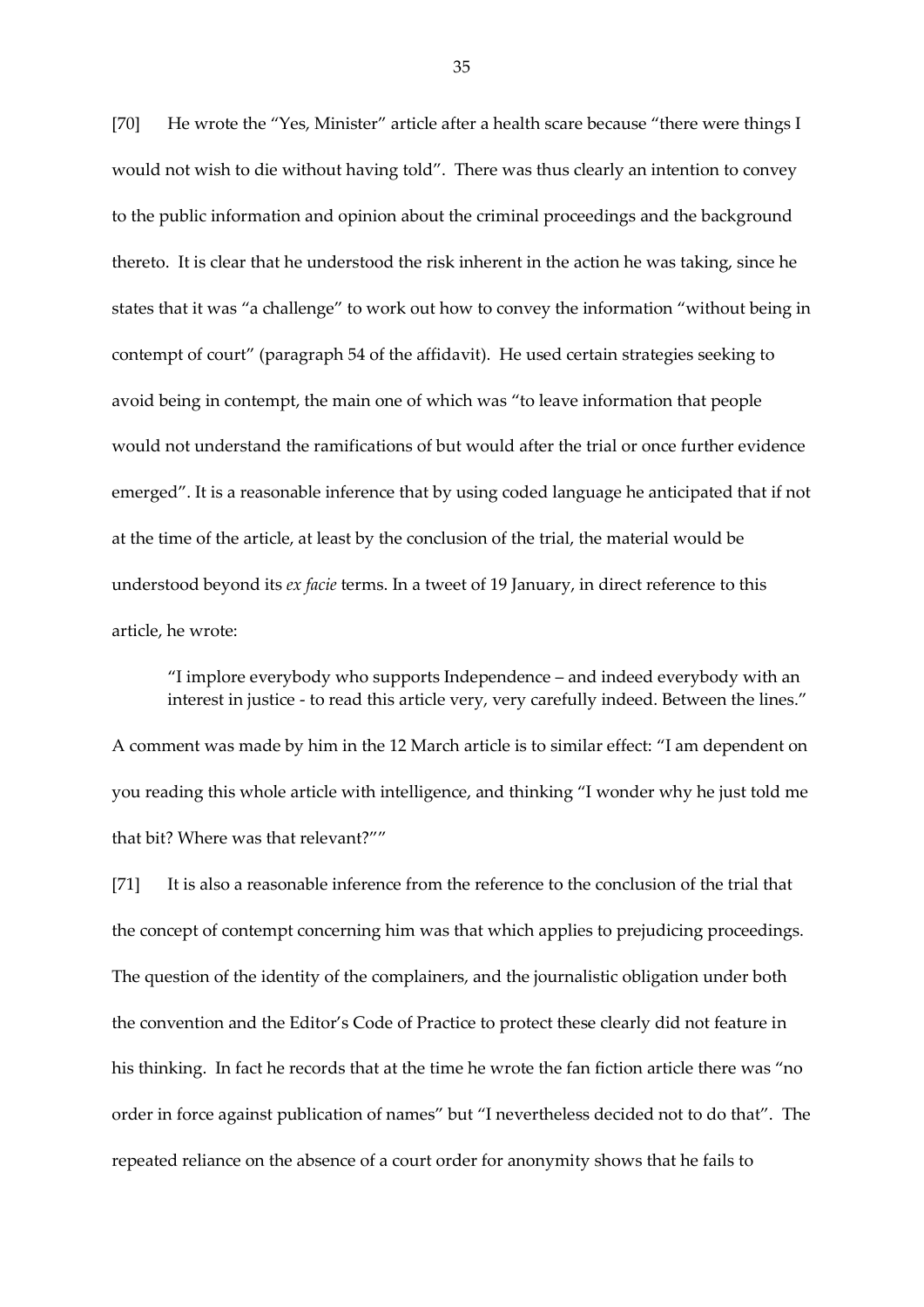[70] He wrote the "Yes, Minister" article after a health scare because "there were things I would not wish to die without having told". There was thus clearly an intention to convey to the public information and opinion about the criminal proceedings and the background thereto. It is clear that he understood the risk inherent in the action he was taking, since he states that it was "a challenge" to work out how to convey the information "without being in contempt of court" (paragraph 54 of the affidavit). He used certain strategies seeking to avoid being in contempt, the main one of which was "to leave information that people would not understand the ramifications of but would after the trial or once further evidence emerged". It is a reasonable inference that by using coded language he anticipated that if not at the time of the article, at least by the conclusion of the trial, the material would be understood beyond its *ex facie* terms. In a tweet of 19 January, in direct reference to this article, he wrote:

"I implore everybody who supports Independence – and indeed everybody with an interest in justice - to read this article very, very carefully indeed. Between the lines."

A comment was made by him in the 12 March article is to similar effect: "I am dependent on you reading this whole article with intelligence, and thinking "I wonder why he just told me that bit? Where was that relevant?""

[71] It is also a reasonable inference from the reference to the conclusion of the trial that the concept of contempt concerning him was that which applies to prejudicing proceedings. The question of the identity of the complainers, and the journalistic obligation under both the convention and the Editor's Code of Practice to protect these clearly did not feature in his thinking. In fact he records that at the time he wrote the fan fiction article there was "no order in force against publication of names" but "I nevertheless decided not to do that". The repeated reliance on the absence of a court order for anonymity shows that he fails to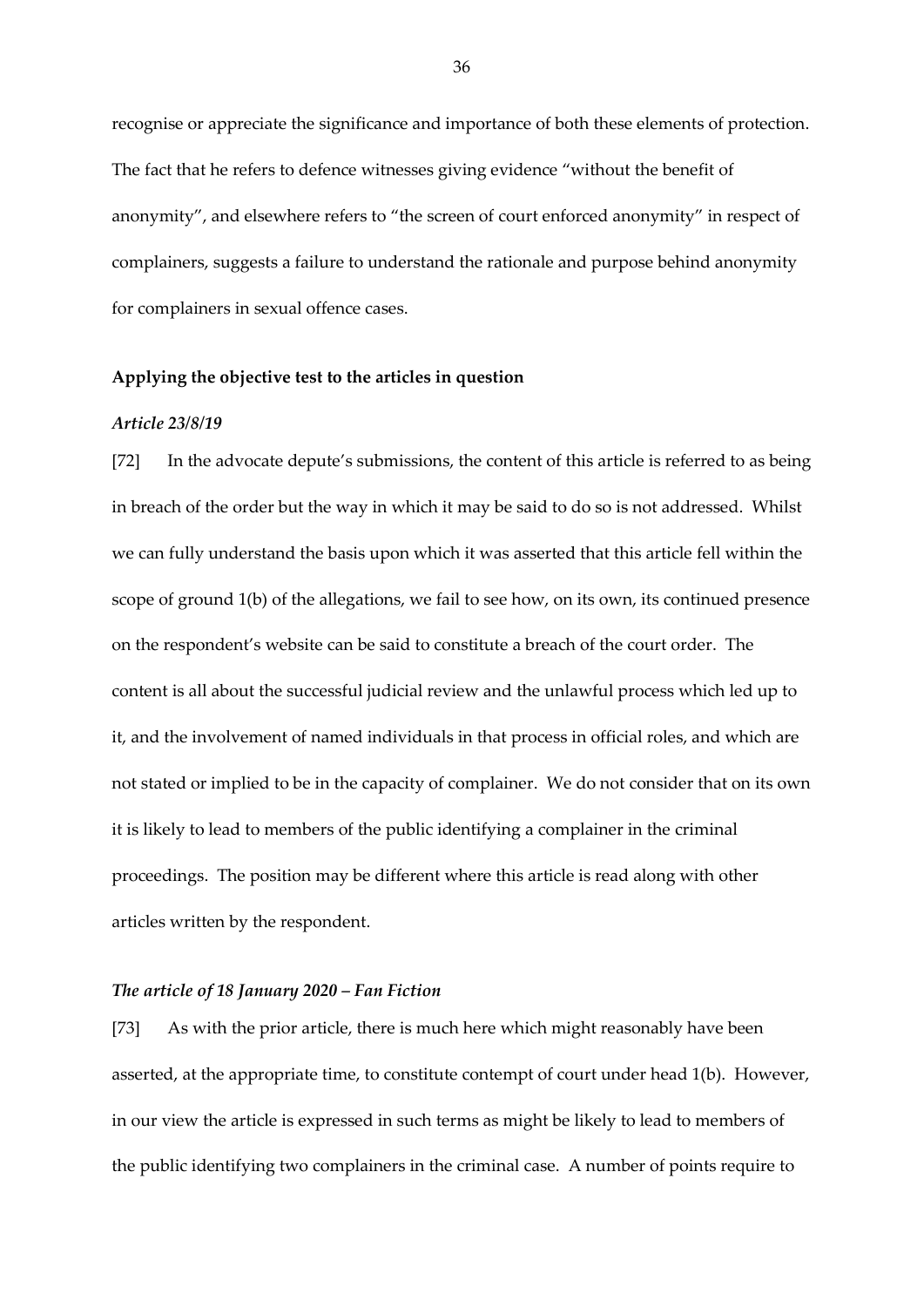recognise or appreciate the significance and importance of both these elements of protection. The fact that he refers to defence witnesses giving evidence "without the benefit of anonymity", and elsewhere refers to "the screen of court enforced anonymity" in respect of complainers, suggests a failure to understand the rationale and purpose behind anonymity for complainers in sexual offence cases.

# **Applying the objective test to the articles in question**

#### *Article 23/8/19*

[72] In the advocate depute's submissions, the content of this article is referred to as being in breach of the order but the way in which it may be said to do so is not addressed. Whilst we can fully understand the basis upon which it was asserted that this article fell within the scope of ground 1(b) of the allegations, we fail to see how, on its own, its continued presence on the respondent's website can be said to constitute a breach of the court order. The content is all about the successful judicial review and the unlawful process which led up to it, and the involvement of named individuals in that process in official roles, and which are not stated or implied to be in the capacity of complainer. We do not consider that on its own it is likely to lead to members of the public identifying a complainer in the criminal proceedings. The position may be different where this article is read along with other articles written by the respondent.

#### *The article of 18 January 2020 – Fan Fiction*

[73] As with the prior article, there is much here which might reasonably have been asserted, at the appropriate time, to constitute contempt of court under head 1(b). However, in our view the article is expressed in such terms as might be likely to lead to members of the public identifying two complainers in the criminal case. A number of points require to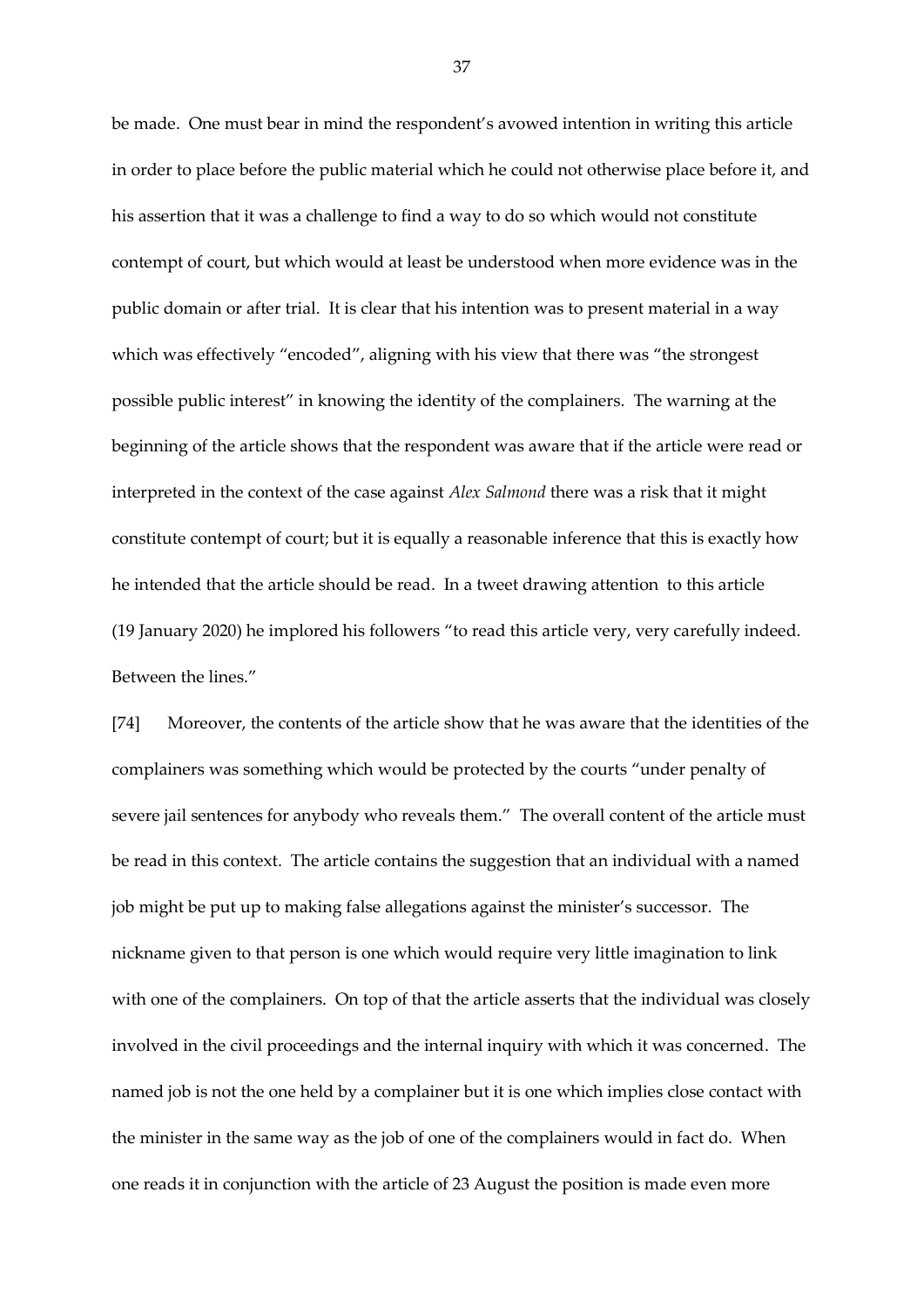be made. One must bear in mind the respondent's avowed intention in writing this article in order to place before the public material which he could not otherwise place before it, and his assertion that it was a challenge to find a way to do so which would not constitute contempt of court, but which would at least be understood when more evidence was in the public domain or after trial. It is clear that his intention was to present material in a way which was effectively "encoded", aligning with his view that there was "the strongest possible public interest" in knowing the identity of the complainers. The warning at the beginning of the article shows that the respondent was aware that if the article were read or interpreted in the context of the case against *Alex Salmond* there was a risk that it might constitute contempt of court; but it is equally a reasonable inference that this is exactly how he intended that the article should be read. In a tweet drawing attention to this article (19 January 2020) he implored his followers "to read this article very, very carefully indeed. Between the lines."

[74] Moreover, the contents of the article show that he was aware that the identities of the complainers was something which would be protected by the courts "under penalty of severe jail sentences for anybody who reveals them." The overall content of the article must be read in this context. The article contains the suggestion that an individual with a named job might be put up to making false allegations against the minister's successor. The nickname given to that person is one which would require very little imagination to link with one of the complainers. On top of that the article asserts that the individual was closely involved in the civil proceedings and the internal inquiry with which it was concerned. The named job is not the one held by a complainer but it is one which implies close contact with the minister in the same way as the job of one of the complainers would in fact do. When one reads it in conjunction with the article of 23 August the position is made even more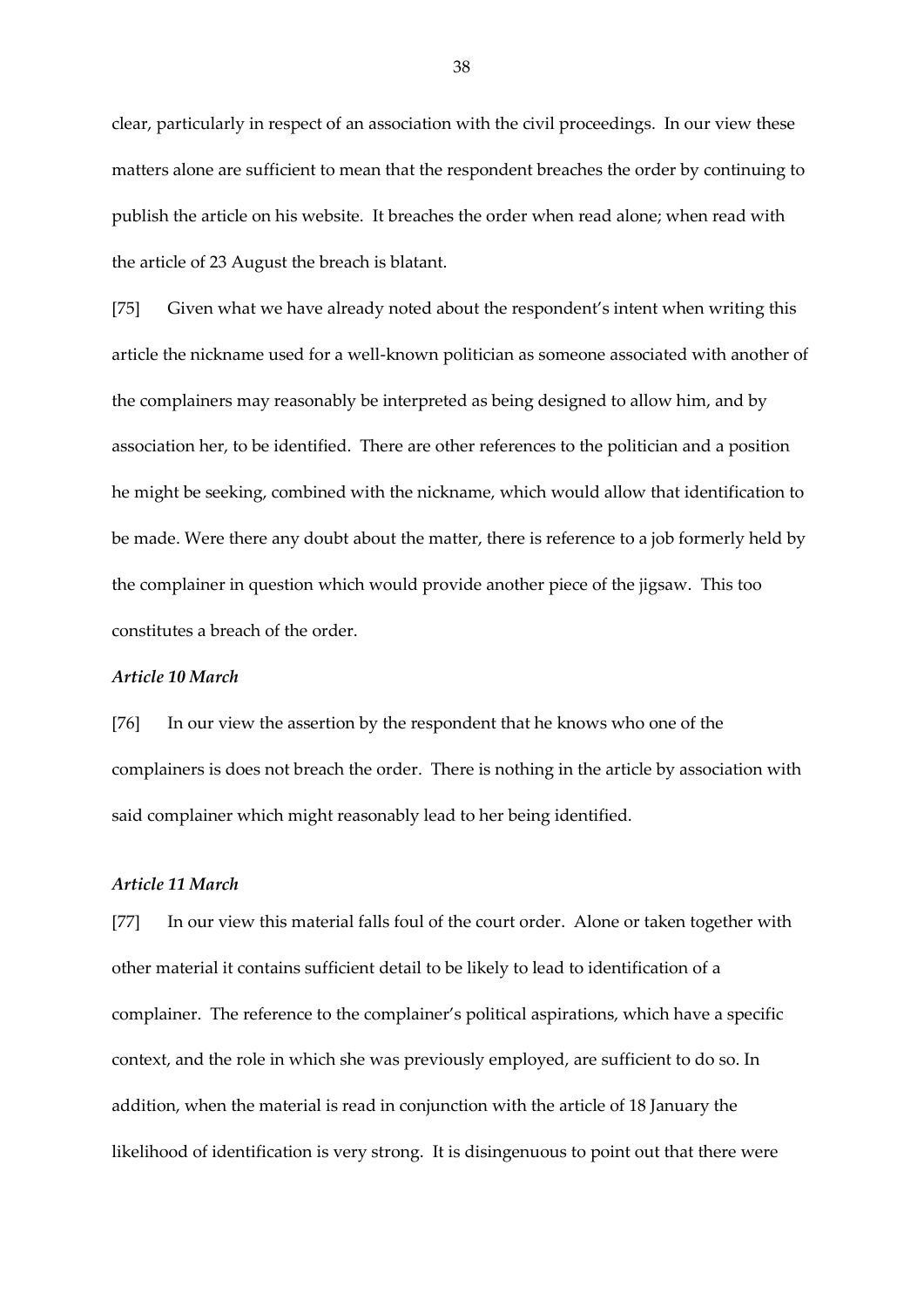clear, particularly in respect of an association with the civil proceedings. In our view these matters alone are sufficient to mean that the respondent breaches the order by continuing to publish the article on his website. It breaches the order when read alone; when read with the article of 23 August the breach is blatant.

[75] Given what we have already noted about the respondent's intent when writing this article the nickname used for a well-known politician as someone associated with another of the complainers may reasonably be interpreted as being designed to allow him, and by association her, to be identified. There are other references to the politician and a position he might be seeking, combined with the nickname, which would allow that identification to be made. Were there any doubt about the matter, there is reference to a job formerly held by the complainer in question which would provide another piece of the jigsaw. This too constitutes a breach of the order.

## *Article 10 March*

[76] In our view the assertion by the respondent that he knows who one of the complainers is does not breach the order. There is nothing in the article by association with said complainer which might reasonably lead to her being identified.

### *Article 11 March*

[77] In our view this material falls foul of the court order. Alone or taken together with other material it contains sufficient detail to be likely to lead to identification of a complainer. The reference to the complainer's political aspirations, which have a specific context, and the role in which she was previously employed, are sufficient to do so. In addition, when the material is read in conjunction with the article of 18 January the likelihood of identification is very strong. It is disingenuous to point out that there were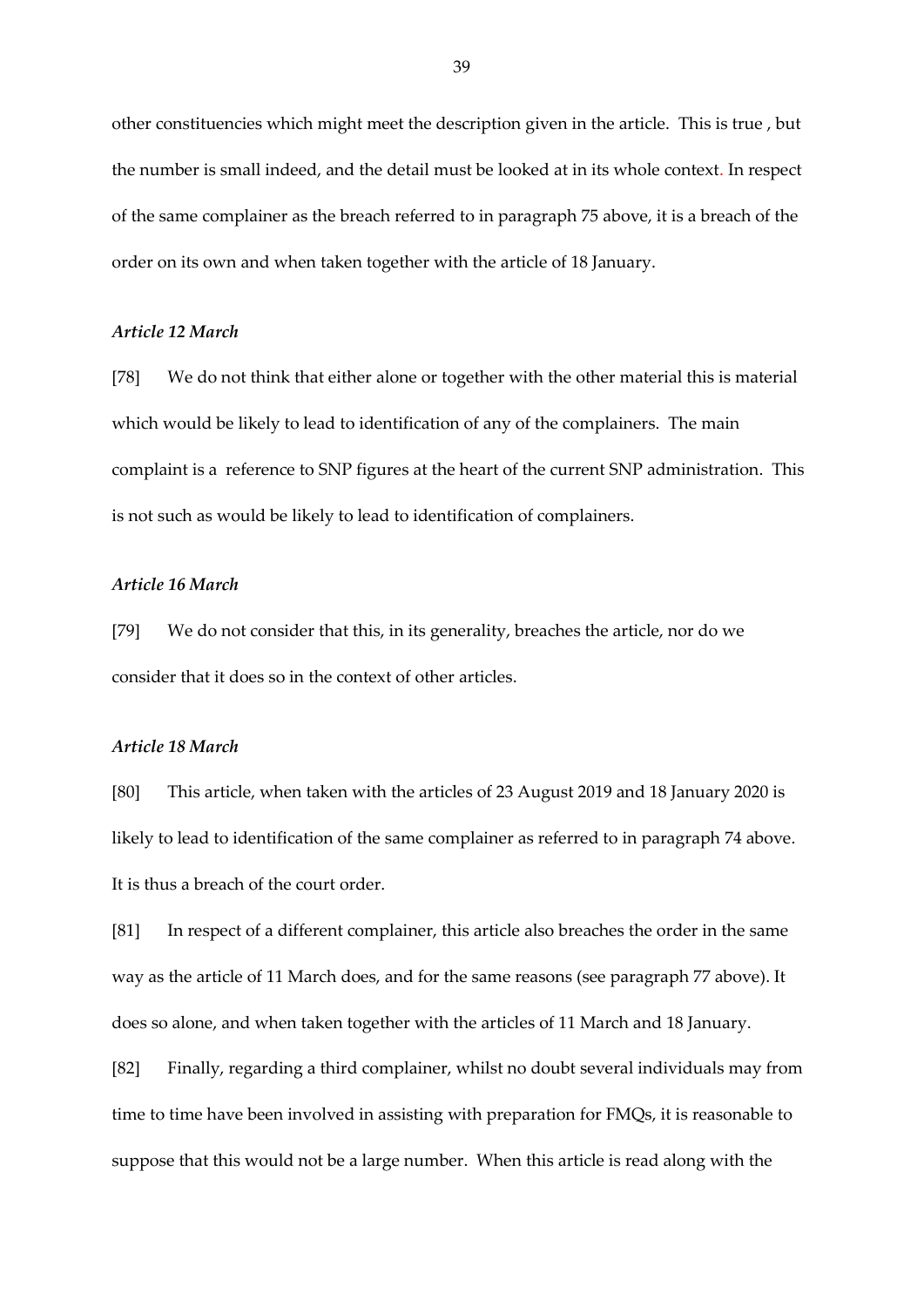other constituencies which might meet the description given in the article. This is true , but the number is small indeed, and the detail must be looked at in its whole context. In respect of the same complainer as the breach referred to in paragraph 75 above, it is a breach of the order on its own and when taken together with the article of 18 January.

#### *Article 12 March*

[78] We do not think that either alone or together with the other material this is material which would be likely to lead to identification of any of the complainers. The main complaint is a reference to SNP figures at the heart of the current SNP administration. This is not such as would be likely to lead to identification of complainers.

## *Article 16 March*

[79] We do not consider that this, in its generality, breaches the article, nor do we consider that it does so in the context of other articles.

## *Article 18 March*

[80] This article, when taken with the articles of 23 August 2019 and 18 January 2020 is likely to lead to identification of the same complainer as referred to in paragraph 74 above. It is thus a breach of the court order.

[81] In respect of a different complainer, this article also breaches the order in the same way as the article of 11 March does, and for the same reasons (see paragraph 77 above). It does so alone, and when taken together with the articles of 11 March and 18 January.

[82] Finally, regarding a third complainer, whilst no doubt several individuals may from time to time have been involved in assisting with preparation for FMQs, it is reasonable to suppose that this would not be a large number. When this article is read along with the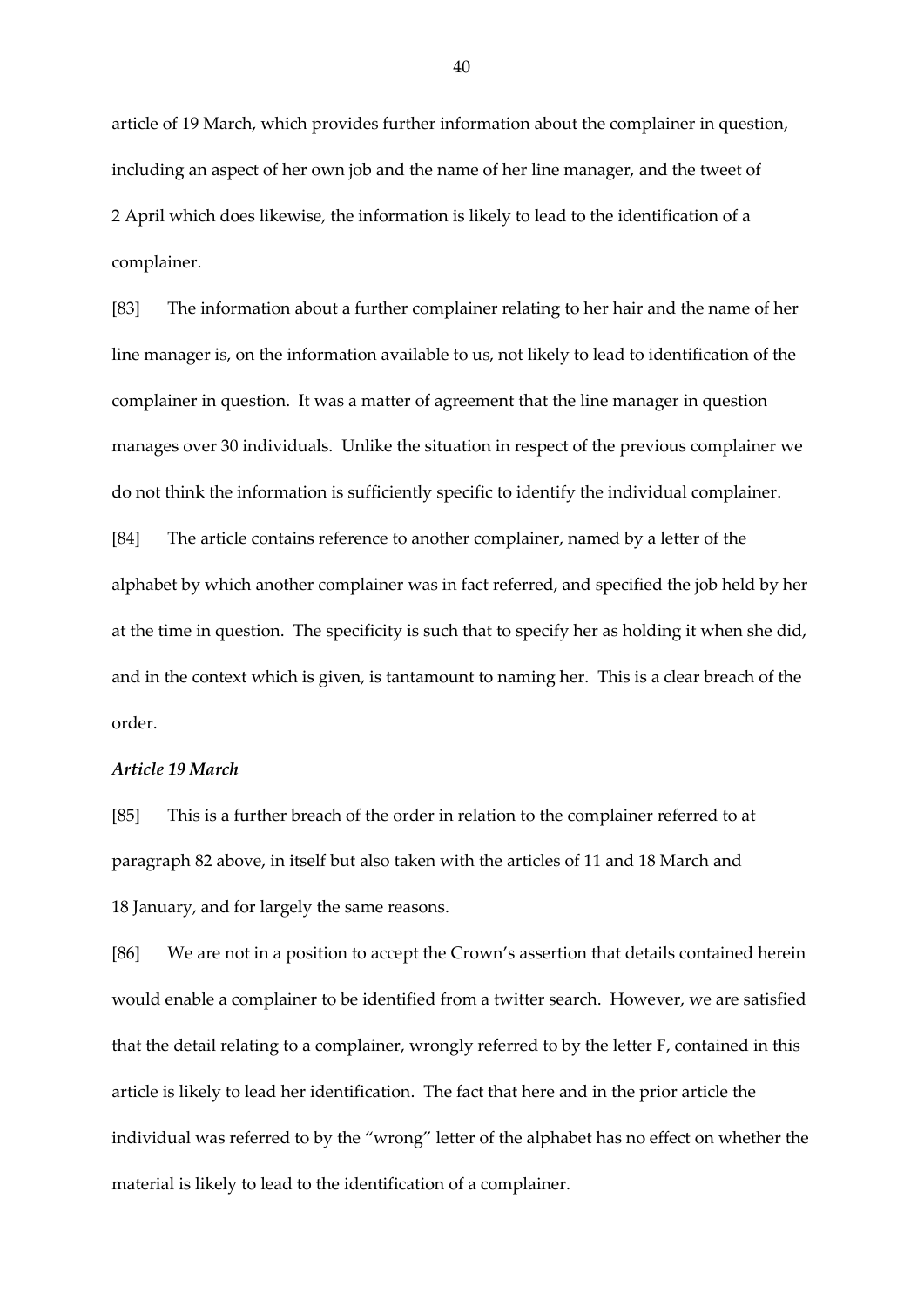article of 19 March, which provides further information about the complainer in question, including an aspect of her own job and the name of her line manager, and the tweet of 2 April which does likewise, the information is likely to lead to the identification of a complainer.

[83] The information about a further complainer relating to her hair and the name of her line manager is, on the information available to us, not likely to lead to identification of the complainer in question. It was a matter of agreement that the line manager in question manages over 30 individuals. Unlike the situation in respect of the previous complainer we do not think the information is sufficiently specific to identify the individual complainer. [84] The article contains reference to another complainer, named by a letter of the alphabet by which another complainer was in fact referred, and specified the job held by her at the time in question. The specificity is such that to specify her as holding it when she did, and in the context which is given, is tantamount to naming her. This is a clear breach of the order.

### *Article 19 March*

[85] This is a further breach of the order in relation to the complainer referred to at paragraph 82 above, in itself but also taken with the articles of 11 and 18 March and 18 January, and for largely the same reasons.

[86] We are not in a position to accept the Crown's assertion that details contained herein would enable a complainer to be identified from a twitter search. However, we are satisfied that the detail relating to a complainer, wrongly referred to by the letter F, contained in this article is likely to lead her identification. The fact that here and in the prior article the individual was referred to by the "wrong" letter of the alphabet has no effect on whether the material is likely to lead to the identification of a complainer.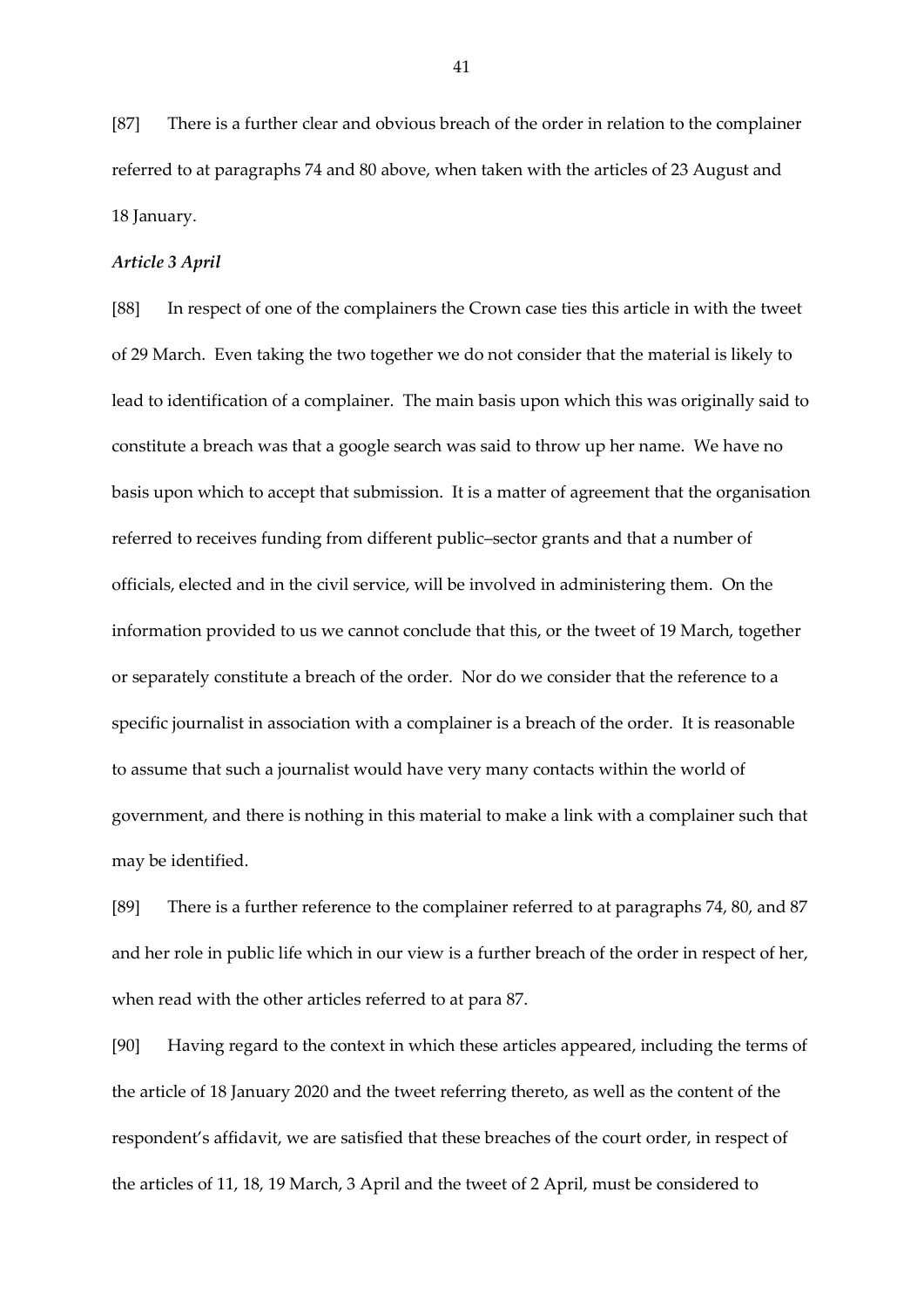[87] There is a further clear and obvious breach of the order in relation to the complainer referred to at paragraphs 74 and 80 above, when taken with the articles of 23 August and 18 January.

## *Article 3 April*

[88] In respect of one of the complainers the Crown case ties this article in with the tweet of 29 March. Even taking the two together we do not consider that the material is likely to lead to identification of a complainer. The main basis upon which this was originally said to constitute a breach was that a google search was said to throw up her name. We have no basis upon which to accept that submission. It is a matter of agreement that the organisation referred to receives funding from different public–sector grants and that a number of officials, elected and in the civil service, will be involved in administering them. On the information provided to us we cannot conclude that this, or the tweet of 19 March, together or separately constitute a breach of the order. Nor do we consider that the reference to a specific journalist in association with a complainer is a breach of the order. It is reasonable to assume that such a journalist would have very many contacts within the world of government, and there is nothing in this material to make a link with a complainer such that may be identified.

[89] There is a further reference to the complainer referred to at paragraphs 74, 80, and 87 and her role in public life which in our view is a further breach of the order in respect of her, when read with the other articles referred to at para 87.

[90] Having regard to the context in which these articles appeared, including the terms of the article of 18 January 2020 and the tweet referring thereto, as well as the content of the respondent's affidavit, we are satisfied that these breaches of the court order, in respect of the articles of 11, 18, 19 March, 3 April and the tweet of 2 April, must be considered to